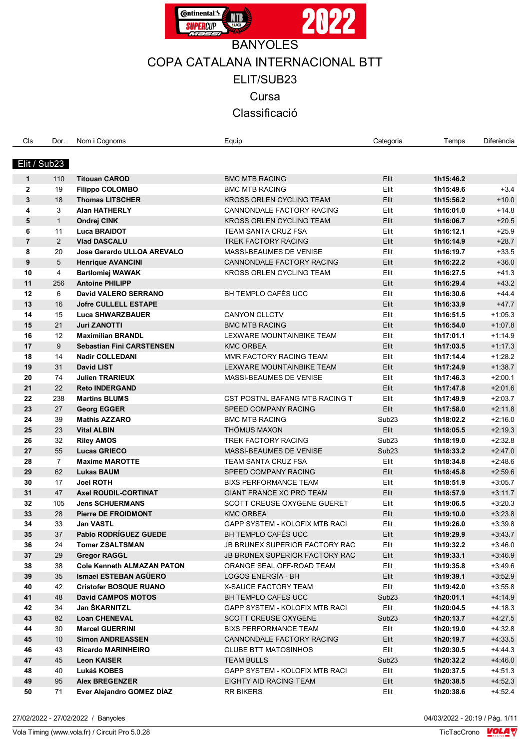

COPA CATALANA INTERNACIONAL BTT

ELIT/SUB23

**Cursa** 

Classificació

| Cls            | Dor.           | Nom i Cognoms                     | Equip                              | Categoria         | Temps     | Diferència |
|----------------|----------------|-----------------------------------|------------------------------------|-------------------|-----------|------------|
|                |                |                                   |                                    |                   |           |            |
| Elit / Sub23   |                |                                   |                                    |                   |           |            |
|                |                |                                   |                                    |                   |           |            |
| 1              | 110            | <b>Titouan CAROD</b>              | <b>BMC MTB RACING</b>              | Elit              | 1h15:46.2 |            |
| $\mathbf{2}$   | 19             | <b>Filippo COLOMBO</b>            | <b>BMC MTB RACING</b>              | Elit              | 1h15:49.6 | $+3.4$     |
| 3              | 18             | <b>Thomas LITSCHER</b>            | <b>KROSS ORLEN CYCLING TEAM</b>    | Elit              | 1h15:56.2 | $+10.0$    |
| 4              | 3              | <b>Alan HATHERLY</b>              | CANNONDALE FACTORY RACING          | Elit              | 1h16:01.0 | $+14.8$    |
| 5              | $\mathbf{1}$   | Ondrej CINK                       | KROSS ORLEN CYCLING TEAM           | Elit              | 1h16:06.7 | $+20.5$    |
| 6              | 11             | <b>Luca BRAIDOT</b>               | TEAM SANTA CRUZ FSA                | Elit              | 1h16:12.1 | $+25.9$    |
| $\overline{7}$ | $\overline{2}$ | <b>Vlad DASCALU</b>               | TREK FACTORY RACING                | Elit              | 1h16:14.9 | $+28.7$    |
| 8              | 20             | <b>Jose Gerardo ULLOA AREVALO</b> | MASSI-BEAUMES DE VENISE            | Elit              | 1h16:19.7 | $+33.5$    |
| 9              | 5              | <b>Henrique AVANCINI</b>          | CANNONDALE FACTORY RACING          | Elit              | 1h16:22.2 | $+36.0$    |
| 10             | 4              | <b>Bartłomiej WAWAK</b>           | <b>KROSS ORLEN CYCLING TEAM</b>    | Elit              | 1h16:27.5 | $+41.3$    |
| 11             | 256            | <b>Antoine PHILIPP</b>            |                                    | Elit              | 1h16:29.4 | $+43.2$    |
| 12             | 6              | David VALERO SERRANO              | BH TEMPLO CAFÉS UCC                | Elit              | 1h16:30.6 | $+44.4$    |
| 13             | 16             | <b>Jofre CULLELL ESTAPE</b>       |                                    | Elit              | 1h16:33.9 | $+47.7$    |
| 14             | 15             | <b>Luca SHWARZBAUER</b>           | <b>CANYON CLLCTV</b>               | Elit              | 1h16:51.5 | $+1:05.3$  |
| 15             | 21             | <b>Juri ZANOTTI</b>               | <b>BMC MTB RACING</b>              | Elit              | 1h16:54.0 | $+1:07.8$  |
| 16             | 12             | <b>Maximilian BRANDL</b>          | LEXWARE MOUNTAINBIKE TEAM          | Elit              | 1h17:01.1 | $+1.14.9$  |
| 17             | 9              | <b>Sebastian Fini CARSTENSEN</b>  | <b>KMC ORBEA</b>                   | Elit              | 1h17:03.5 | $+1.17.3$  |
| 18             | 14             | <b>Nadir COLLEDANI</b>            | MMR FACTORY RACING TEAM            | Elit              | 1h17:14.4 | $+1:28.2$  |
| 19             | 31             | <b>David LIST</b>                 | LEXWARE MOUNTAINBIKE TEAM          | Elit              | 1h17:24.9 | $+1:38.7$  |
| 20             | 74             | <b>Julien TRARIEUX</b>            | MASSI-BEAUMES DE VENISE            | Elit              | 1h17:46.3 | $+2:00.1$  |
| 21             | 22             | <b>Reto INDERGAND</b>             |                                    | Elit              | 1h17:47.8 | $+2:01.6$  |
| 22             | 238            | <b>Martins BLUMS</b>              | CST POSTNL BAFANG MTB RACING T     | Elit              | 1h17:49.9 | $+2:03.7$  |
|                |                |                                   |                                    |                   |           |            |
| 23             | 27             | <b>Georg EGGER</b>                | SPEED COMPANY RACING               | Elit              | 1h17:58.0 | $+2.11.8$  |
| 24             | 39             | <b>Mathis AZZARO</b>              | <b>BMC MTB RACING</b>              | Sub <sub>23</sub> | 1h18:02.2 | $+2:16.0$  |
| 25             | 23             | <b>Vital ALBIN</b>                | <b>THÖMUS MAXON</b>                | Elit              | 1h18:05.5 | $+2:19.3$  |
| 26             | 32             | <b>Riley AMOS</b>                 | TREK FACTORY RACING                | Sub <sub>23</sub> | 1h18:19.0 | $+2:32.8$  |
| 27             | 55             | <b>Lucas GRIECO</b>               | <b>MASSI-BEAUMES DE VENISE</b>     | Sub <sub>23</sub> | 1h18:33.2 | $+2.47.0$  |
| 28             | $\overline{7}$ | <b>Maxime MAROTTE</b>             | TEAM SANTA CRUZ FSA                | Elit              | 1h18:34.8 | $+2.48.6$  |
| 29             | 62             | <b>Lukas BAUM</b>                 | SPEED COMPANY RACING               | Elit              | 1h18:45.8 | $+2:59.6$  |
| 30             | 17             | <b>Joel ROTH</b>                  | <b>BIXS PERFORMANCE TEAM</b>       | Elit              | 1h18:51.9 | $+3:05.7$  |
| 31             | 47             | <b>Axel ROUDIL-CORTINAT</b>       | <b>GIANT FRANCE XC PRO TEAM</b>    | Elit              | 1h18:57.9 | $+3:11.7$  |
| 32             | 105            | <b>Jens SCHUERMANS</b>            | <b>SCOTT CREUSE OXYGENE GUERET</b> | Elit              | 1h19:06.5 | $+3:20.3$  |
| 33             | 28             | <b>Pierre DE FROIDMONT</b>        | <b>KMC ORBEA</b>                   | Elit              | 1h19:10.0 | $+3.23.8$  |
| 34             | 33             | <b>Jan VASTL</b>                  | GAPP SYSTEM - KOLOFIX MTB RACI     | Elit              | 1h19:26.0 | $+3.39.8$  |
| 35             | 37             | <b>Pablo RODRÍGUEZ GUEDE</b>      | BH TEMPLO CAFÉS UCC                | Elit              | 1h19:29.9 | $+3.43.7$  |
| 36             | 24             | <b>Tomer ZSALTSMAN</b>            | JB BRUNEX SUPERIOR FACTORY RAC     | Elit              | 1h19:32.2 | $+3.46.0$  |
| 37             | 29             | <b>Gregor RAGGL</b>               | JB BRUNEX SUPERIOR FACTORY RAC     | Elit              | 1h19:33.1 | $+3:46.9$  |
| 38             | 38             | <b>Cole Kenneth ALMAZAN PATON</b> | ORANGE SEAL OFF-ROAD TEAM          | Elit              | 1h19:35.8 | $+3.49.6$  |
| 39             | 35             | <b>Ismael ESTEBAN AGÜERO</b>      | LOGOS ENERGÍA - BH                 | Elit              | 1h19:39.1 | $+3:52.9$  |
| 40             | 42             | <b>Cristofer BOSQUE RUANO</b>     | <b>X-SAUCE FACTORY TEAM</b>        | Elit              | 1h19:42.0 | $+3:55.8$  |
| 41             | 48             | <b>David CAMPOS MOTOS</b>         | BH TEMPLO CAFES UCC                | Sub <sub>23</sub> | 1h20:01.1 | $+4:14.9$  |
| 42             | 34             | Jan ŠKARNITZL                     | GAPP SYSTEM - KOLOFIX MTB RACI     | Elit              | 1h20:04.5 | $+4.18.3$  |
| 43             | 82             | <b>Loan CHENEVAL</b>              | <b>SCOTT CREUSE OXYGENE</b>        | Sub <sub>23</sub> | 1h20:13.7 | $+4:27.5$  |
| 44             | 30             | <b>Marcel GUERRINI</b>            | <b>BIXS PERFORMANCE TEAM</b>       | Elit              | 1h20:19.0 | $+4:32.8$  |
| 45             | 10             | <b>Simon ANDREASSEN</b>           | CANNONDALE FACTORY RACING          | Elit              | 1h20:19.7 | $+4:33.5$  |
| 46             | 43             | <b>Ricardo MARINHEIRO</b>         | <b>CLUBE BTT MATOSINHOS</b>        | Elit              | 1h20:30.5 | $+4.44.3$  |
| 47             | 45             | <b>Leon KAISER</b>                | <b>TEAM BULLS</b>                  | Sub <sub>23</sub> | 1h20:32.2 | $+4:46.0$  |
| 48             | 40             | Lukáš KOBES                       | GAPP SYSTEM - KOLOFIX MTB RACI     | Elit              | 1h20:37.5 | $+4.51.3$  |
| 49             | 95             | <b>Alex BREGENZER</b>             | EIGHTY AID RACING TEAM             | Elit              | 1h20:38.5 | $+4:52.3$  |
| 50             | 71             | Ever Alejandro GOMEZ DÍAZ         | <b>RR BIKERS</b>                   | Elit              | 1h20:38.6 | $+4.52.4$  |
|                |                |                                   |                                    |                   |           |            |

27/02/2022 - 27/02/2022 / Banyoles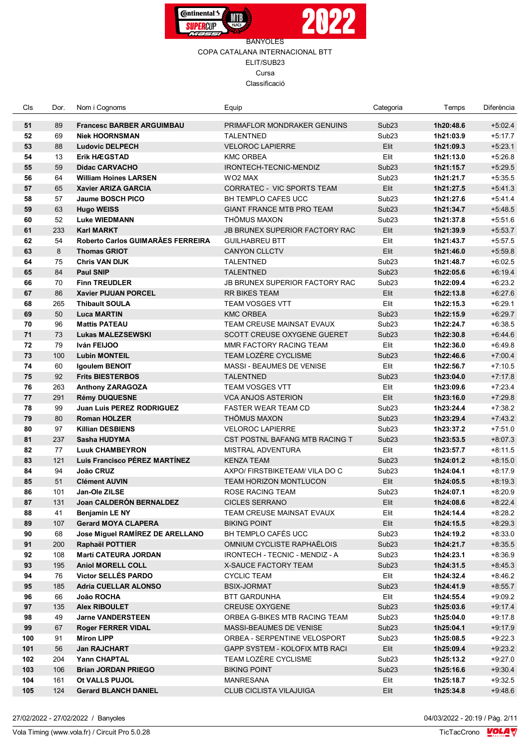



| Cls | Dor. | Nom i Cognoms                     | Equip                                 | Categoria         | Temps     | Diferència |
|-----|------|-----------------------------------|---------------------------------------|-------------------|-----------|------------|
| 51  | 89   | <b>Francesc BARBER ARGUIMBAU</b>  | PRIMAFLOR MONDRAKER GENUINS           | Sub <sub>23</sub> | 1h20:48.6 | $+5.02.4$  |
| 52  | 69   | <b>Niek HOORNSMAN</b>             | <b>TALENTNED</b>                      | Sub <sub>23</sub> | 1h21:03.9 | $+5:17.7$  |
| 53  | 88   | <b>Ludovic DELPECH</b>            | <b>VELOROC LAPIERRE</b>               | Elit              | 1h21:09.3 | $+5:23.1$  |
| 54  | 13   | <b>Erik HÆGSTAD</b>               | <b>KMC ORBEA</b>                      | Elit              | 1h21:13.0 | $+5:26.8$  |
| 55  | 59   | <b>Didac CARVACHO</b>             | IRONTECH-TECNIC-MENDIZ                | Sub <sub>23</sub> | 1h21:15.7 | $+5:29.5$  |
| 56  | 64   | <b>William Hoines LARSEN</b>      | WO2 MAX                               | Sub <sub>23</sub> | 1h21:21.7 | $+5:35.5$  |
| 57  | 65   | <b>Xavier ARIZA GARCIA</b>        | CORRATEC - VIC SPORTS TEAM            | Elit              | 1h21:27.5 | $+5.41.3$  |
| 58  | 57   | <b>Jaume BOSCH PICO</b>           | <b>BH TEMPLO CAFES UCC</b>            | Sub <sub>23</sub> | 1h21:27.6 | $+5.41.4$  |
| 59  | 63   | <b>Hugo WEISS</b>                 | <b>GIANT FRANCE MTB PRO TEAM</b>      | Sub <sub>23</sub> | 1h21:34.7 | $+5.48.5$  |
| 60  | 52   | <b>Luke WIEDMANN</b>              | THÖMUS MAXON                          | Sub <sub>23</sub> | 1h21:37.8 | $+5:51.6$  |
| 61  | 233  | <b>Karl MARKT</b>                 | <b>JB BRUNEX SUPERIOR FACTORY RAC</b> | Elit              | 1h21:39.9 | $+5:53.7$  |
| 62  | 54   | Roberto Carlos GUIMARÃES FERREIRA | <b>GUILHABREU BTT</b>                 | Elit              | 1h21:43.7 | $+5:57.5$  |
| 63  | 8    | <b>Thomas GRIOT</b>               | <b>CANYON CLLCTV</b>                  | Elit              | 1h21:46.0 | $+5.59.8$  |
| 64  | 75   | <b>Chris VAN DIJK</b>             | <b>TALENTNED</b>                      | Sub <sub>23</sub> | 1h21:48.7 | $+6:02.5$  |
| 65  | 84   | <b>Paul SNIP</b>                  | <b>TALENTNED</b>                      | Sub <sub>23</sub> | 1h22:05.6 | $+6.19.4$  |
| 66  | 70   | <b>Finn TREUDLER</b>              | JB BRUNEX SUPERIOR FACTORY RAC        | Sub <sub>23</sub> | 1h22:09.4 | $+6:23.2$  |
| 67  | 86   | <b>Xavier PIJUAN PORCEL</b>       | <b>RR BIKES TEAM</b>                  | Elit              | 1h22:13.8 | $+6.27.6$  |
| 68  | 265  | <b>Thibault SOULA</b>             | <b>TEAM VOSGES VTT</b>                | Elit              | 1h22:15.3 | $+6:29.1$  |
| 69  | 50   | <b>Luca MARTIN</b>                | <b>KMC ORBEA</b>                      | Sub <sub>23</sub> | 1h22:15.9 | $+6.29.7$  |
| 70  | 96   | <b>Mattis PATEAU</b>              | TEAM CREUSE MAINSAT EVAUX             | Sub <sub>23</sub> | 1h22:24.7 | $+6:38.5$  |
| 71  | 73   | <b>Lukas MALEZSEWSKI</b>          | SCOTT CREUSE OXYGENE GUERET           | Sub <sub>23</sub> | 1h22:30.8 | $+6.44.6$  |
| 72  | 79   | Iván FEIJOO                       | MMR FACTORY RACING TEAM               | Elit              | 1h22:36.0 | $+6.49.8$  |
| 73  | 100  | <b>Lubin MONTEIL</b>              | TEAM LOZÈRE CYCLISME                  | Sub <sub>23</sub> | 1h22:46.6 | $+7:00.4$  |
| 74  | 60   | Igoulem BENOIT                    | MASSI - BEAUMES DE VENISE             | Elit              | 1h22:56.7 | $+7:10.5$  |
| 75  | 92   | <b>Frits BIESTERBOS</b>           | <b>TALENTNED</b>                      | Sub <sub>23</sub> | 1h23:04.0 | $+7:17.8$  |
| 76  | 263  | Anthony ZARAGOZA                  | <b>TEAM VOSGES VTT</b>                | Elit              | 1h23:09.6 | $+7.23.4$  |
| 77  | 291  | <b>Rémy DUQUESNE</b>              | <b>VCA ANJOS ASTERION</b>             | Elit              | 1h23:16.0 | $+7:29.8$  |
| 78  | 99   | <b>Juan Luis PEREZ RODRIGUEZ</b>  | <b>FASTER WEAR TEAM CD</b>            | Sub <sub>23</sub> | 1h23:24.4 | $+7:38.2$  |
| 79  | 80   | <b>Roman HOLZER</b>               | THÖMUS MAXON                          | Sub <sub>23</sub> | 1h23:29.4 | $+7:43.2$  |
| 80  | 97   | <b>Killian DESBIENS</b>           | <b>VELOROC LAPIERRE</b>               | Sub <sub>23</sub> | 1h23:37.2 | $+7:51.0$  |
| 81  | 237  | Sasha HUDYMA                      | CST POSTNL BAFANG MTB RACING T        | Sub <sub>23</sub> | 1h23:53.5 | $+8.07.3$  |
| 82  | 77   | <b>Luuk CHAMBEYRON</b>            | <b>MISTRAL ADVENTURA</b>              | Elit              | 1h23:57.7 | $+8:11.5$  |
| 83  | 121  | Luis Francisco PÉREZ MARTÍNEZ     | <b>KENZA TEAM</b>                     | Sub <sub>23</sub> | 1h24:01.2 | $+8:15.0$  |
| 84  | 94   | João CRUZ                         | AXPO/ FIRSTBIKETEAM/ VILA DO C        | Sub <sub>23</sub> | 1h24:04.1 | $+8:17.9$  |
| 85  | 51   | <b>Clément AUVIN</b>              | TEAM HORIZON MONTLUCON                | Elit              | 1h24:05.5 | $+8:19.3$  |
| 86  | 101  | Jan-Ole ZILSE                     | ROSE RACING TEAM                      | Sub <sub>23</sub> | 1h24:07.1 | $+8:20.9$  |
| 87  | 131  | <b>Joan CALDERON BERNALDEZ</b>    | CICLES SERRANO                        | Elit              | 1h24:08.6 | $+8:22.4$  |
| 88  | 41   | <b>Benjamin LE NY</b>             | TEAM CREUSE MAINSAT EVAUX             | Elit              | 1h24:14.4 | $+8.28.2$  |
| 89  | 107  | <b>Gerard MOYA CLAPERA</b>        | <b>BIKING POINT</b>                   | Elit              | 1h24:15.5 | $+8:29.3$  |
| 90  | 68   | Jose Miguel RAMÍREZ DE ARELLANO   | BH TEMPLO CAFÉS UCC                   | Sub <sub>23</sub> | 1h24:19.2 | $+8:33.0$  |
| 91  | 200  | Raphaël POTTIER                   | OMNIUM CYCLISTE RAPHAËLOIS            | Sub <sub>23</sub> | 1h24:21.7 | $+8:35.5$  |
| 92  | 108  | <b>Martí CATEURA JORDAN</b>       | IRONTECH - TECNIC - MENDIZ - A        | Sub <sub>23</sub> | 1h24:23.1 | $+8:36.9$  |
| 93  | 195  | <b>Aniol MORELL COLL</b>          | <b>X-SAUCE FACTORY TEAM</b>           | Sub <sub>23</sub> | 1h24:31.5 | $+8.45.3$  |
| 94  | 76   | <b>Victor SELLÉS PARDO</b>        | <b>CYCLIC TEAM</b>                    | Elit              | 1h24:32.4 | $+8:46.2$  |
| 95  | 185  | <b>Adria CUELLAR ALONSO</b>       | <b>BSIX-JORMAT</b>                    | Sub <sub>23</sub> | 1h24:41.9 | $+8:55.7$  |
| 96  | 66   | João ROCHA                        | <b>BTT GARDUNHA</b>                   | Elit              | 1h24:55.4 | $+9:09.2$  |
| 97  | 135  | <b>Alex RIBOULET</b>              | <b>CREUSE OXYGENE</b>                 | Sub <sub>23</sub> | 1h25:03.6 | $+9:17.4$  |
| 98  | 49   | <b>Jarne VANDERSTEEN</b>          | ORBEA G-BIKES MTB RACING TEAM         | Sub <sub>23</sub> | 1h25:04.0 | $+9:17.8$  |
| 99  | 67   | <b>Roger FERRER VIDAL</b>         | MASSI-BEAUMES DE VENISE               | Sub <sub>23</sub> | 1h25:04.1 | $+9:17.9$  |
| 100 | 91   | <b>Miron LIPP</b>                 | ORBEA - SERPENTINE VELOSPORT          | Sub <sub>23</sub> | 1h25:08.5 | $+9:22.3$  |
| 101 | 56   | Jan RAJCHART                      | GAPP SYSTEM - KOLOFIX MTB RACI        | Elit              | 1h25:09.4 | $+9:23.2$  |
| 102 | 204  | Yann CHAPTAL                      | TEAM LOZÈRE CYCLISME                  | Sub <sub>23</sub> | 1h25:13.2 | $+9.27.0$  |
| 103 | 106  | <b>Brian JORDAN PRIEGO</b>        | <b>BIKING POINT</b>                   | Sub <sub>23</sub> | 1h25:16.6 | $+9:30.4$  |
| 104 | 161  | Ot VALLS PUJOL                    | MANRESANA                             | Elit              | 1h25:18.7 | $+9:32.5$  |
| 105 | 124  | <b>Gerard BLANCH DANIEL</b>       | CLUB CICLISTA VILAJUIGA               | Elit              | 1h25:34.8 | $+9.48.6$  |
|     |      |                                   |                                       |                   |           |            |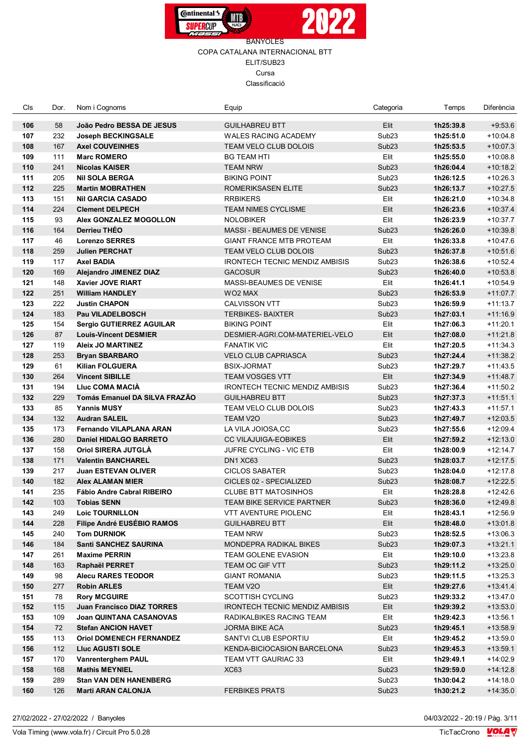



| Cls        | Dor.       | Nom i Cognoms                                               | Equip                                         | Categoria                 | Temps                  | Diferència               |
|------------|------------|-------------------------------------------------------------|-----------------------------------------------|---------------------------|------------------------|--------------------------|
| 106        | 58         | João Pedro BESSA DE JESUS                                   | <b>GUILHABREU BTT</b>                         | Elit                      | 1h25:39.8              | $+9:53.6$                |
| 107        | 232        | <b>Joseph BECKINGSALE</b>                                   | <b>WALES RACING ACADEMY</b>                   | Sub <sub>23</sub>         | 1h25:51.0              | $+10:04.8$               |
| 108        | 167        | <b>Axel COUVEINHES</b>                                      | TEAM VELO CLUB DOLOIS                         | Sub <sub>23</sub>         | 1h25:53.5              | $+10:07.3$               |
| 109        | 111        | <b>Marc ROMERO</b>                                          | BG TEAM HTI                                   | Elit                      | 1h25:55.0              | $+10:08.8$               |
| 110        | 241        | <b>Nicolas KAISER</b>                                       | TEAM NRW                                      | Sub <sub>23</sub>         | 1h26:04.4              | $+10:18.2$               |
| 111        | 205        | <b>NII SOLA BERGA</b>                                       | <b>BIKING POINT</b>                           | Sub <sub>23</sub>         | 1h26:12.5              | $+10:26.3$               |
| 112        | 225        | <b>Martin MOBRATHEN</b>                                     | ROMERIKSASEN ELITE                            | Sub <sub>23</sub>         | 1h26:13.7              | $+10:27.5$               |
| 113        | 151        | <b>Nil GARCIA CASADO</b>                                    | <b>RRBIKERS</b>                               | Elit                      | 1h26:21.0              | $+10:34.8$               |
| 114        | 224        | <b>Clement DELPECH</b>                                      | <b>TEAM NIMES CYCLISME</b>                    | Elit                      | 1h26:23.6              | $+10:37.4$               |
| 115        | 93         | Alex GONZALEZ MOGOLLON                                      | <b>NOLOBIKER</b>                              | Elit                      | 1h26:23.9              | $+10:37.7$               |
| 116        | 164        | Derrieu THÉO                                                | MASSI - BEAUMES DE VENISE                     | Sub <sub>23</sub>         | 1h26:26.0              | $+10:39.8$               |
| 117        | 46         | <b>Lorenzo SERRES</b>                                       | <b>GIANT FRANCE MTB PROTEAM</b>               | Elit                      | 1h26:33.8              | $+10:47.6$               |
| 118        | 259        | <b>Julien PERCHAT</b>                                       | TEAM VELO CLUB DOLOIS                         | Sub <sub>23</sub>         | 1h26:37.8              | $+10:51.6$               |
| 119        | 117        | <b>Axel BADIA</b>                                           | <b>IRONTECH TECNIC MENDIZ AMBISIS</b>         | Sub <sub>23</sub>         | 1h26:38.6              | $+10:52.4$               |
| 120        | 169        | <b>Alejandro JIMENEZ DIAZ</b>                               | <b>GACOSUR</b>                                | Sub <sub>23</sub>         | 1h26:40.0              | $+10:53.8$               |
| 121        | 148        | Xavier JOVE RIART                                           | MASSI-BEAUMES DE VENISE                       | Elit                      | 1h26:41.1              | $+10:54.9$               |
| 122        | 251        | <b>William HANDLEY</b>                                      | WO2 MAX                                       | Sub <sub>23</sub>         | 1h26:53.9              | $+11:07.7$               |
| 123        | 222        | <b>Justin CHAPON</b>                                        | <b>CALVISSON VTT</b>                          | Sub <sub>23</sub>         | 1h26:59.9              | $+11:13.7$               |
| 124        | 183        | <b>Pau VILADELBOSCH</b>                                     | <b>TERBIKES- BAIXTER</b>                      | Sub <sub>23</sub>         | 1h27:03.1              | $+11:16.9$               |
| 125        | 154        | Sergio GUTIERREZ AGUILAR                                    | <b>BIKING POINT</b>                           | Elit                      | 1h27:06.3              | $+11:20.1$               |
| 126        | 87         | <b>Louis-Vincent DESMIER</b>                                | DESMIER-AGRI.COM-MATERIEL-VELO                | Elit                      | 1h27:08.0              | $+11:21.8$               |
| 127        | 119        | <b>Aleix JO MARTINEZ</b>                                    | <b>FANATIK VIC</b>                            | Elit                      | 1h27:20.5              | $+11:34.3$               |
| 128        | 253        | <b>Bryan SBARBARO</b>                                       | <b>VELO CLUB CAPRIASCA</b>                    | Sub <sub>23</sub>         | 1h27:24.4              | $+11:38.2$               |
| 129        | 61         | <b>Kilian FOLGUERA</b>                                      | <b>BSIX-JORMAT</b>                            | Sub <sub>23</sub>         | 1h27:29.7              | $+11:43.5$               |
| 130        | 264        | <b>Vincent SIBILLE</b>                                      | <b>TEAM VOSGES VTT</b>                        | Elit                      | 1h27:34.9              | $+11:48.7$               |
| 131        | 194        | <b>Liuc COMA MACIA</b>                                      | <b>IRONTECH TECNIC MENDIZ AMBISIS</b>         | Sub <sub>23</sub>         | 1h27:36.4              | $+11:50.2$               |
| 132        | 229        | Tomás Emanuel DA SILVA FRAZÃO                               | <b>GUILHABREU BTT</b>                         | Sub <sub>23</sub>         | 1h27:37.3              | $+11:51.1$               |
| 133        | 85         | <b>Yannis MUSY</b>                                          | TEAM VELO CLUB DOLOIS                         | Sub <sub>23</sub>         | 1h27:43.3              | $+11:57.1$               |
| 134        | 132        | <b>Audran SALEIL</b>                                        | TEAM V2O                                      | Sub <sub>23</sub>         | 1h27:49.7              | $+12:03.5$               |
| 135        | 173        | <b>Fernando VILAPLANA ARAN</b>                              | LA VILA JOIOSA, CC                            | Sub <sub>23</sub>         | 1h27:55.6              | $+12:09.4$               |
| 136        | 280        | <b>Daniel HIDALGO BARRETO</b>                               | <b>CC VILAJUIGA-EOBIKES</b>                   | Elit                      | 1h27:59.2              | $+12:13.0$               |
| 137        | 158        | <b>Oriol SIRERA JUTGLA</b>                                  | <b>JUFRE CYCLING - VIC ETB</b>                | Elit                      | 1h28:00.9              | $+12:14.7$               |
| 138        | 171        | <b>Valentin BANCHAREL</b>                                   | DN1 XC63                                      | Sub <sub>23</sub>         | 1h28:03.7              | $+12:17.5$               |
| 139        | 217        | <b>Juan ESTEVAN OLIVER</b>                                  | <b>CICLOS SABATER</b>                         | Sub <sub>23</sub>         | 1h28:04.0              | $+12:17.8$               |
| 140        | 182        | <b>Alex ALAMAN MIER</b>                                     | <b>CICLES 02 - SPECIALIZED</b>                | Sub <sub>23</sub>         | 1h28:08.7              | $+12:22.5$               |
| 141        | 235        | Fábio Andre Cabral RIBEIRO                                  | <b>CLUBE BTT MATOSINHOS</b>                   | Elit                      | 1h28:28.8              | +12:42.6                 |
| 142        | 103        | <b>Tobias SENN</b>                                          | TEAM BIKE SERVICE PARTNER                     | Sub <sub>23</sub>         | 1h28:36.0              | $+12:49.8$               |
| 143<br>144 | 249<br>228 | <b>Loic TOURNILLON</b><br><b>Filipe André EUSÉBIO RAMOS</b> | VTT AVENTURE PIOLENC<br><b>GUILHABREU BTT</b> | Elit                      | 1h28:43.1<br>1h28:48.0 | $+12:56.9$               |
| 145        | 240        | <b>Tom DURNIOK</b>                                          | <b>TEAM NRW</b>                               | Elit<br>Sub <sub>23</sub> | 1h28:52.5              | $+13:01.8$<br>$+13:06.3$ |
| 146        | 184        | <b>Santi SANCHEZ SAURINA</b>                                | MONDEPRA RADIKAL BIKES                        | Sub <sub>23</sub>         | 1h29:07.3              | $+13:21.1$               |
| 147        | 261        | <b>Maxime PERRIN</b>                                        | TEAM GOLENE EVASION                           | Elit                      | 1h29:10.0              | $+13:23.8$               |
| 148        | 163        | Raphaël PERRET                                              | TEAM OC GIF VTT                               | Sub <sub>23</sub>         | 1h29:11.2              | +13:25.0                 |
| 149        | 98         | <b>Alecu RARES TEODOR</b>                                   | <b>GIANT ROMANIA</b>                          | Sub <sub>23</sub>         | 1h29:11.5              | +13:25.3                 |
| 150        | 277        | <b>Robin ARLES</b>                                          | TEAM V2O                                      | Elit                      | 1h29:27.6              | +13:41.4                 |
| 151        | 78         | <b>Rory MCGUIRE</b>                                         | <b>SCOTTISH CYCLING</b>                       | Sub <sub>23</sub>         | 1h29:33.2              | $+13:47.0$               |
| 152        | 115        | <b>Juan Francisco DIAZ TORRES</b>                           | <b>IRONTECH TECNIC MENDIZ AMBISIS</b>         | Elit                      | 1h29:39.2              | $+13.53.0$               |
| 153        | 109        | <b>Joan QUINTANA CASANOVAS</b>                              | RADIKALBIKES RACING TEAM                      | Elit                      | 1h29:42.3              | $+13:56.1$               |
| 154        | 72         | <b>Stefan ANCION HAVET</b>                                  | JORMA BIKE ACA                                | Sub <sub>23</sub>         | 1h29:45.1              | $+13:58.9$               |
| 155        | 113        | <b>Oriol DOMENECH FERNANDEZ</b>                             | SANTVI CLUB ESPORTIU                          | Elit                      | 1h29:45.2              | $+13:59.0$               |
| 156        | 112        | <b>Lluc AGUSTI SOLE</b>                                     | KENDA-BICIOCASION BARCELONA                   | Sub <sub>23</sub>         | 1h29:45.3              | $+13:59.1$               |
| 157        | 170        | <b>Vanrenterghem PAUL</b>                                   | TEAM VTT GAURIAC 33                           | Elit                      | 1h29:49.1              | $+14:02.9$               |
| 158        | 168        | <b>Mathis MEYNIEL</b>                                       | XC <sub>63</sub>                              | Sub <sub>23</sub>         | 1h29:59.0              | +14:12.8                 |
| 159        | 289        | <b>Stan VAN DEN HANENBERG</b>                               |                                               | Sub <sub>23</sub>         | 1h30:04.2              | $+14:18.0$               |
| 160        | 126        | <b>Marti ARAN CALONJA</b>                                   | <b>FERBIKES PRATS</b>                         | Sub <sub>23</sub>         | 1h30:21.2              | $+14:35.0$               |
|            |            |                                                             |                                               |                           |                        |                          |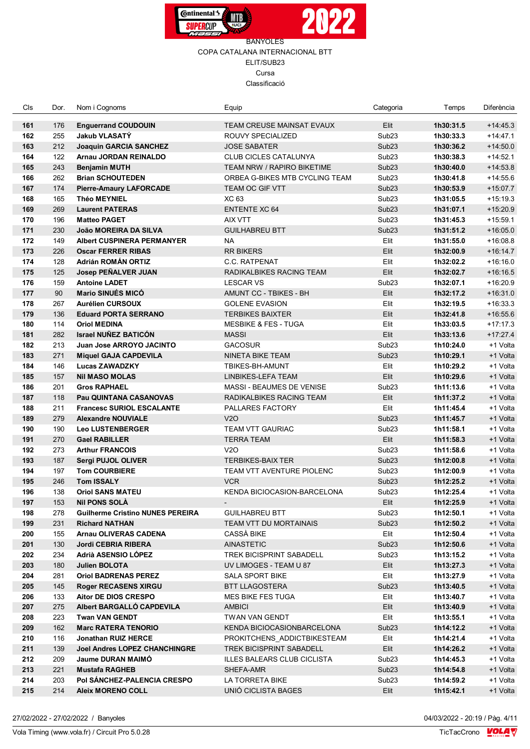



| Cls        | Dor.       | Nom i Cognoms                                       | Equip                                      | Categoria         | Temps                  | Diferència           |
|------------|------------|-----------------------------------------------------|--------------------------------------------|-------------------|------------------------|----------------------|
| 161        | 176        | <b>Enguerrand COUDOUIN</b>                          | TEAM CREUSE MAINSAT EVAUX                  | Elit              | 1h30:31.5              | $+14:45.3$           |
| 162        | 255        | <b>Jakub VLASATY</b>                                | ROUVY SPECIALIZED                          | Sub <sub>23</sub> | 1h30:33.3              | $+14.47.1$           |
| 163        | 212        | <b>Joaquin GARCIA SANCHEZ</b>                       | <b>JOSE SABATER</b>                        | Sub <sub>23</sub> | 1h30:36.2              | $+14:50.0$           |
| 164        | 122        | Arnau JORDAN REINALDO                               | <b>CLUB CICLES CATALUNYA</b>               | Sub <sub>23</sub> | 1h30:38.3              | $+14:52.1$           |
| 165        | 243        | <b>Benjamin MUTH</b>                                | TEAM NRW / RAPIRO BIKETIME                 | Sub <sub>23</sub> | 1h30:40.0              | $+14:53.8$           |
| 166        | 262        | <b>Brian SCHOUTEDEN</b>                             | ORBEA G-BIKES MTB CYCLING TEAM             | Sub <sub>23</sub> | 1h30:41.8              | $+14:55.6$           |
| 167        | 174        | <b>Pierre-Amaury LAFORCADE</b>                      | TEAM OC GIF VTT                            | Sub <sub>23</sub> | 1h30:53.9              | $+15:07.7$           |
| 168        | 165        | <b>Théo MEYNIEL</b>                                 | XC 63                                      | Sub <sub>23</sub> | 1h31:05.5              | $+15:19.3$           |
| 169        | 269        | <b>Laurent PATERAS</b>                              | <b>ENTENTE XC 64</b>                       | Sub <sub>23</sub> | 1h31:07.1              | $+15:20.9$           |
| 170        | 196        | <b>Matteo PAGET</b>                                 | AIX VTT                                    | Sub <sub>23</sub> | 1h31:45.3              | $+15:59.1$           |
| 171        | 230        | João MOREIRA DA SILVA                               | <b>GUILHABREU BTT</b>                      | Sub <sub>23</sub> | 1h31:51.2              | $+16:05.0$           |
| 172        | 149        | <b>Albert CUSPINERA PERMANYER</b>                   | NA                                         | Elit              | 1h31:55.0              | $+16:08.8$           |
| 173        | 226        | <b>Oscar FERRER RIBAS</b>                           | <b>RR BIKERS</b>                           | Elit              | 1h32:00.9              | $+16.14.7$           |
| 174        | 128        | Adrián ROMÁN ORTIZ                                  | <b>C.C. RATPENAT</b>                       | Elit              | 1h32:02.2              | $+16:16.0$           |
| 175        | 125        | <b>Josep PEÑALVER JUAN</b>                          | RADIKALBIKES RACING TEAM                   | Elit              | 1h32:02.7              | $+16:16.5$           |
| 176        | 159        | <b>Antoine LADET</b>                                | <b>LESCAR VS</b>                           | Sub <sub>23</sub> | 1h32:07.1              | $+16:20.9$           |
| 177        | 90         | <b>Mario SINUÉS MICÓ</b>                            | AMUNT CC - TBIKES - BH                     | Elit              | 1h32:17.2              | $+16:31.0$           |
| 178        | 267        | <b>Aurélien CURSOUX</b>                             | <b>GOLENE EVASION</b>                      | Elit              | 1h32:19.5              | $+16:33.3$           |
| 179        | 136        | <b>Eduard PORTA SERRANO</b>                         | <b>TERBIKES BAIXTER</b>                    | Elit              | 1h32:41.8              | $+16.55.6$           |
| 180        | 114        | <b>Oriol MEDINA</b>                                 | <b>MESBIKE &amp; FES - TUGA</b>            | Elit              | 1h33:03.5              | $+17:17.3$           |
| 181        | 282        | <b>Israel NUÑEZ BATICÓN</b>                         | <b>MASSI</b>                               | Elit              | 1h33:13.6              | $+17:27.4$           |
| 182        | 213        | Juan Jose ARROYO JACINTO                            | <b>GACOSUR</b>                             | Sub <sub>23</sub> | 1h10:24.0              | +1 Volta             |
| 183        | 271        | <b>Miquel GAJA CAPDEVILA</b>                        | NINETA BIKE TEAM                           | Sub <sub>23</sub> | 1h10:29.1              | +1 Volta             |
| 184        | 146        | <b>Lucas ZAWADZKY</b>                               | TBIKES-BH-AMUNT                            | Elit              | 1h10:29.2              | +1 Volta             |
| 185        | 157        | <b>Nil MASO MOLAS</b>                               | LINBIKES-LEFA TEAM                         | Elit              | 1h10:29.6              | +1 Volta             |
| 186        | 201        | <b>Gros RAPHAEL</b>                                 | MASSI - BEAUMES DE VENISE                  | Sub <sub>23</sub> | 1h11:13.6              | +1 Volta             |
| 187        | 118        | Pau QUINTANA CASANOVAS                              | RADIKALBIKES RACING TEAM                   | Elit              | 1h11:37.2              | +1 Volta             |
| 188        | 211        | <b>Francesc SURIOL ESCALANTE</b>                    | PALLARES FACTORY                           | Elit              | 1h11:45.4              | +1 Volta             |
| 189        | 279        | <b>Alexandre NOUVIALE</b>                           | V2O                                        | Sub <sub>23</sub> | 1h11:45.7              | +1 Volta             |
| 190        | 190        | <b>Leo LUSTENBERGER</b>                             | <b>TEAM VTT GAURIAC</b>                    | Sub <sub>23</sub> | 1h11:58.1              | +1 Volta             |
| 191        | 270        | <b>Gael RABILLER</b>                                | <b>TERRA TEAM</b>                          | Elit              | 1h11:58.3              | +1 Volta             |
| 192        | 273        | <b>Arthur FRANCOIS</b>                              | V2O                                        | Sub <sub>23</sub> | 1h11:58.6              | +1 Volta             |
| 193        | 187        | Sergi PUJOL OLIVER                                  | <b>TERBIKES-BAIX TER</b>                   | Sub <sub>23</sub> | 1h12:00.8              | +1 Volta             |
| 194        | 197        | <b>Tom COURBIERE</b>                                | <b>TEAM VTT AVENTURE PIOLENC</b>           | Sub <sub>23</sub> | 1h12:00.9              | +1 Volta             |
| 195        | 246        | <b>Tom ISSALY</b>                                   | <b>VCR</b>                                 | Sub <sub>23</sub> | 1h12:25.2              | +1 Volta             |
| 196        | 138        | <b>Oriol SANS MATEU</b>                             | KENDA BICIOCASION-BARCELONA                | Sub <sub>23</sub> | 1h12:25.4              | +1 Volta             |
| 197        | 153        | <b>Nil PONS SOLÀ</b>                                |                                            | Elit              | 1h12:25.9              | +1 Volta             |
| 198        | 278        | <b>Guilherme Cristino NUNES PEREIRA</b>             | <b>GUILHABREU BTT</b>                      | Sub <sub>23</sub> | 1h12:50.1              | +1 Volta             |
| 199        | 231        | <b>Richard NATHAN</b>                               | TEAM VTT DU MORTAINAIS                     | Sub <sub>23</sub> | 1h12:50.2              | +1 Volta             |
| 200        | 155        | <b>Arnau OLIVERAS CADENA</b>                        | CASSÀ BIKE                                 | Elit              | 1h12:50.4              | +1 Volta             |
| 201        | 130        | <b>Jordi CEBRIA RIBERA</b>                          | <b>AINASTETIC</b>                          | Sub <sub>23</sub> | 1h12:50.6              | +1 Volta             |
| 202        | 234        | Adrià ASENSIO LOPEZ                                 | <b>TREK BICISPRINT SABADELL</b>            | Sub <sub>23</sub> | 1h13:15.2              | +1 Volta             |
| 203        | 180        | <b>Julien BOLOTA</b>                                | UV LIMOGES - TEAM U 87                     | Elit              | 1h13:27.3              | +1 Volta             |
| 204<br>205 | 281        | <b>Oriol BADRENAS PEREZ</b>                         | SALA SPORT BIKE                            | Elit              | 1h13:27.9              | +1 Volta             |
| 206        | 145        | <b>Roger RECASENS XIRGU</b><br>Aitor DE DIOS CRESPO | BTT LLAGOSTERA<br><b>MES BIKE FES TUGA</b> | Sub <sub>23</sub> | 1h13:40.5<br>1h13:40.7 | +1 Volta<br>+1 Volta |
| 207        | 133<br>275 | Albert BARGALLO CAPDEVILA                           |                                            | Elit<br>Elit      |                        |                      |
| 208        | 223        |                                                     | AMBICI<br>TWAN VAN GENDT                   | Elit              | 1h13:40.9              | +1 Volta             |
| 209        | 162        | <b>Twan VAN GENDT</b><br><b>Marc RATERA TENORIO</b> | KENDA BICIOCASIONBARCELONA                 | Sub <sub>23</sub> | 1h13:55.1<br>1h14:12.2 | +1 Volta<br>+1 Volta |
| 210        | 116        | Jonathan RUIZ HERCE                                 | PROKITCHENS ADDICTBIKESTEAM                | Elit              | 1h14:21.4              | +1 Volta             |
| 211        | 139        | <b>Joel Andres LOPEZ CHANCHINGRE</b>                | TREK BICISPRINT SABADELL                   | Elit              | 1h14:26.2              | +1 Volta             |
| 212        | 209        | <b>Jaume DURAN MAIMO</b>                            | ILLES BALEARS CLUB CICLISTA                | Sub <sub>23</sub> | 1h14:45.3              | +1 Volta             |
| 213        | 221        | <b>Mustafa RAGHEB</b>                               | SHEFA-AMR                                  | Sub <sub>23</sub> | 1h14:54.8              | +1 Volta             |
| 214        | 203        | Pol SANCHEZ-PALENCIA CRESPO                         | LA TORRETA BIKE                            | Sub <sub>23</sub> | 1h14:59.2              | +1 Volta             |
| 215        | 214        | <b>Aleix MORENO COLL</b>                            | UNIÓ CICLISTA BAGES                        | Elit              | 1h15:42.1              | +1 Volta             |
|            |            |                                                     |                                            |                   |                        |                      |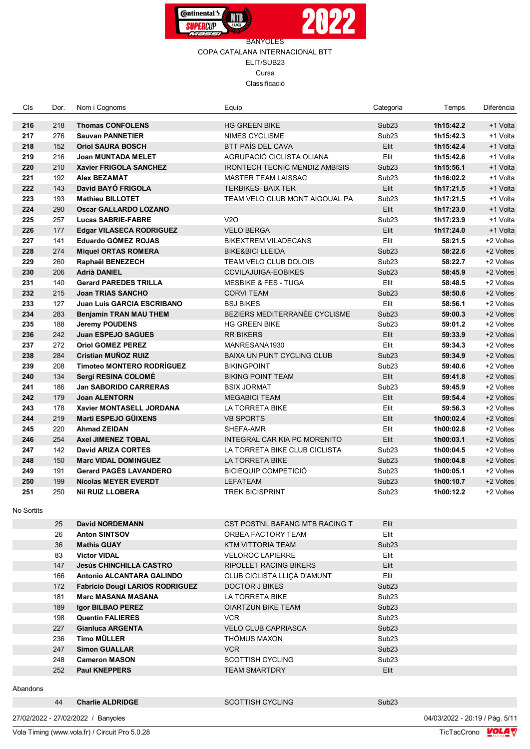



| Cls               | Dor. | Nom i Cognoms                          | Equip                                 | Categoria         | Temps                          | Diferència |
|-------------------|------|----------------------------------------|---------------------------------------|-------------------|--------------------------------|------------|
| 216               | 218  | <b>Thomas CONFOLENS</b>                | <b>HG GREEN BIKE</b>                  | Sub <sub>23</sub> | 1h15:42.2                      | +1 Volta   |
| 217               | 276  | <b>Sauvan PANNETIER</b>                | <b>NIMES CYCLISME</b>                 | Sub <sub>23</sub> | 1h15:42.3                      | +1 Volta   |
| 218               | 152  | <b>Oriol SAURA BOSCH</b>               | <b>BTT PAÍS DEL CAVA</b>              | Elit              | 1h15:42.4                      | +1 Volta   |
| 219               | 216  | <b>Joan MUNTADA MELET</b>              | AGRUPACIÓ CICLISTA OLIANA             | Elit              | 1h15:42.6                      | +1 Volta   |
| 220               | 210  | <b>Xavier FRIGOLA SANCHEZ</b>          | <b>IRONTECH TECNIC MENDIZ AMBISIS</b> | Sub <sub>23</sub> | 1h15:56.1                      | +1 Volta   |
| 221               | 192  | <b>Alex BEZAMAT</b>                    | <b>MASTER TEAM LAISSAC</b>            | Sub <sub>23</sub> | 1h16:02.2                      | +1 Volta   |
| 222               | 143  | David BAYO FRIGOLA                     | <b>TERBIKES- BAIX TER</b>             | Elit              | 1h17:21.5                      | +1 Volta   |
| 223               | 193  | <b>Mathieu BILLOTET</b>                | TEAM VELO CLUB MONT AIGOUAL PA        | Sub <sub>23</sub> | 1h17:21.5                      | +1 Volta   |
| 224               | 290  | <b>Oscar GALLARDO LOZANO</b>           |                                       | Elit              | 1h17:23.0                      | +1 Volta   |
| 225               | 257  | <b>Lucas SABRIE-FABRE</b>              | V2O                                   | Sub <sub>23</sub> | 1h17:23.9                      | +1 Volta   |
| 226               | 177  | <b>Edgar VILASECA RODRIGUEZ</b>        | <b>VELO BERGA</b>                     | Elit              | 1h17:24.0                      | +1 Volta   |
| 227               | 141  | <b>Eduardo GÓMEZ ROJAS</b>             | <b>BIKEXTREM VILADECANS</b>           | Elit              | 58:21.5                        | +2 Voltes  |
| 228               | 274  | <b>Miquel ORTAS ROMERA</b>             | <b>BIKE&amp;BICI LLEIDA</b>           | Sub <sub>23</sub> | 58:22.6                        | +2 Voltes  |
| 229               | 260  | Raphaël BENEZECH                       | TEAM VELO CLUB DOLOIS                 | Sub <sub>23</sub> | 58:22.7                        | +2 Voltes  |
| 230               | 206  | <b>Adrià DANIEL</b>                    | <b>CCVILAJUIGA-EOBIKES</b>            | Sub <sub>23</sub> | 58:45.9                        | +2 Voltes  |
| 231               | 140  | <b>Gerard PAREDES TRILLA</b>           | <b>MESBIKE &amp; FES - TUGA</b>       | Elit              | 58:48.5                        | +2 Voltes  |
| 232               | 215  | <b>Joan TRIAS SANCHO</b>               | <b>CORVITEAM</b>                      | Sub <sub>23</sub> | 58:50.6                        | +2 Voltes  |
| 233               | 127  | <b>Juan Luis GARCIA ESCRIBANO</b>      | <b>BSJ BIKES</b>                      | Elit              | 58:56.1                        | +2 Voltes  |
| 234               | 283  | <b>Benjamin TRAN MAU THEM</b>          | BEZIERS MEDITERRANÉE CYCLISME         | Sub <sub>23</sub> | 59:00.3                        | +2 Voltes  |
| 235               | 188  | <b>Jeremy POUDENS</b>                  | <b>HG GREEN BIKE</b>                  | Sub <sub>23</sub> | 59:01.2                        | +2 Voltes  |
| 236               | 242  | <b>Juan ESPEJO SAGUES</b>              | <b>RR BIKERS</b>                      | Elit              | 59:33.9                        | +2 Voltes  |
| 237               | 272  | <b>Oriol GOMEZ PEREZ</b>               | MANRESANA1930                         | Elit              | 59:34.3                        | +2 Voltes  |
| 238               | 284  | Cristian MUÑOZ RUIZ                    | <b>BAIXA UN PUNT CYCLING CLUB</b>     | Sub <sub>23</sub> | 59:34.9                        | +2 Voltes  |
| 239               | 208  | <b>Timoteo MONTERO RODRÍGUEZ</b>       | <b>BIKINGPOINT</b>                    | Sub <sub>23</sub> | 59:40.6                        | +2 Voltes  |
| 240               | 134  | Sergi RESINA COLOMÉ                    | <b>BIKING POINT TEAM</b>              | Elit              | 59:41.8                        | +2 Voltes  |
| 241               | 186  | <b>Jan SABORIDO CARRERAS</b>           | <b>BSIX JORMAT</b>                    | Sub <sub>23</sub> | 59:45.9                        | +2 Voltes  |
| 242               | 179  | <b>Joan ALENTORN</b>                   | <b>MEGABICI TEAM</b>                  | Elit              | 59:54.4                        | +2 Voltes  |
| 243               | 178  | Xavier MONTASELL JORDANA               | LA TORRETA BIKE                       | Elit              | 59:56.3                        | +2 Voltes  |
| 244               | 219  | Marti ESPEJO GÜIXENS                   | <b>VB SPORTS</b>                      | Elit              | 1h00:02.4                      | +2 Voltes  |
| 245               | 220  | <b>Ahmad ZEIDAN</b>                    | SHEFA-AMR                             | Elit              | 1h00:02.8                      | +2 Voltes  |
| 246               | 254  | <b>Axel JIMENEZ TOBAL</b>              | <b>INTEGRAL CAR KIA PC MORENITO</b>   | Elit              | 1h00:03.1                      | +2 Voltes  |
| 247               | 142  | <b>David ARIZA CORTES</b>              | LA TORRETA BIKE CLUB CICLISTA         | Sub <sub>23</sub> | 1h00:04.5                      | +2 Voltes  |
| 248               | 150  | <b>Marc VIDAL DOMINGUEZ</b>            | LA TORRETA BIKE                       | Sub <sub>23</sub> | 1h00:04.8                      | +2 Voltes  |
| 249               | 191  | <b>Gerard PAGÈS LAVANDERO</b>          | <b>BICIEQUIP COMPETICIÓ</b>           | Sub <sub>23</sub> | 1h00:05.1                      | +2 Voltes  |
| 250               | 199  | <b>Nicolas MEYER EVERDT</b>            | <b>LEFATEAM</b>                       | Sub <sub>23</sub> | 1h00:10.7                      | +2 Voltes  |
| 251<br>No Sortits | 250  | <b>Nil RUIZ LLOBERA</b>                | <b>TREK BICISPRINT</b>                | Sub <sub>23</sub> | 1h00:12.2                      | +2 Voltes  |
|                   | 25   | <b>David NORDEMANN</b>                 | CST POSTNL BAFANG MTB RACING T        | Elit              |                                |            |
|                   | 26   | <b>Anton SINTSOV</b>                   | ORBEA FACTORY TEAM                    | Elit              |                                |            |
|                   | 36   | <b>Mathis GUAY</b>                     | KTM VITTORIA TEAM                     | Sub <sub>23</sub> |                                |            |
|                   | 83   | <b>Victor VIDAL</b>                    | <b>VELOROC LAPIERRE</b>               | Elit              |                                |            |
|                   | 147  | <b>Jesús CHINCHILLA CASTRO</b>         | <b>RIPOLLET RACING BIKERS</b>         | Elit              |                                |            |
|                   | 166  | Antonio ALCANTARA GALINDO              | CLUB CICLISTA LLIÇÀ D'AMUNT           | Elit              |                                |            |
|                   | 172  | <b>Fabricio Dougl LARIOS RODRIGUEZ</b> | <b>DOCTOR J BIKES</b>                 | Sub <sub>23</sub> |                                |            |
|                   | 181  | <b>Marc MASANA MASANA</b>              | LA TORRETA BIKE                       | Sub <sub>23</sub> |                                |            |
|                   | 189  | <b>Igor BILBAO PEREZ</b>               | <b>OIARTZUN BIKE TEAM</b>             | Sub <sub>23</sub> |                                |            |
|                   | 198  | <b>Quentin FALIERES</b>                | <b>VCR</b>                            | Sub <sub>23</sub> |                                |            |
|                   | 227  | <b>Gianluca ARGENTA</b>                | <b>VELO CLUB CAPRIASCA</b>            | Sub <sub>23</sub> |                                |            |
|                   | 236  | <b>Timo MÜLLER</b>                     | THÖMUS MAXON                          | Sub <sub>23</sub> |                                |            |
|                   | 247  | <b>Simon GUALLAR</b>                   | <b>VCR</b>                            | Sub <sub>23</sub> |                                |            |
|                   | 248  | <b>Cameron MASON</b>                   | <b>SCOTTISH CYCLING</b>               | Sub <sub>23</sub> |                                |            |
|                   | 252  | <b>Paul KNEPPERS</b>                   | <b>TEAM SMARTDRY</b>                  | Elit              |                                |            |
| Abandons          |      |                                        |                                       |                   |                                |            |
|                   | 44   | <b>Charlie ALDRIDGE</b>                | <b>SCOTTISH CYCLING</b>               | Sub <sub>23</sub> |                                |            |
|                   |      | 27/02/2022 - 27/02/2022 / Banyoles     |                                       |                   | 04/03/2022 - 20:19 / Pàg. 5/11 |            |

Vola Timing (www.vola.fr) / Circuit Pro 5.0.28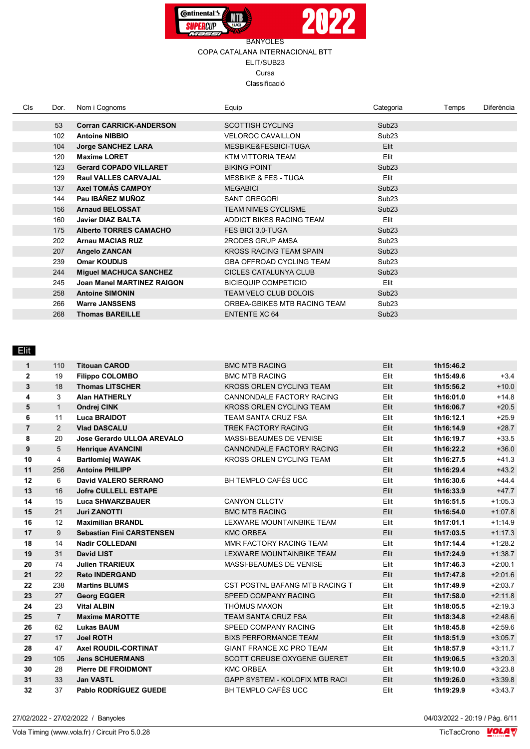



| Cls. | Dor. | Nom i Cognoms                     | Equip                           | Categoria         | Temps | Diferència |
|------|------|-----------------------------------|---------------------------------|-------------------|-------|------------|
|      |      |                                   |                                 |                   |       |            |
|      | 53   | <b>Corran CARRICK-ANDERSON</b>    | <b>SCOTTISH CYCLING</b>         | Sub <sub>23</sub> |       |            |
|      | 102  | <b>Antoine NIBBIO</b>             | <b>VELOROC CAVAILLON</b>        | Sub <sub>23</sub> |       |            |
|      | 104  | <b>Jorge SANCHEZ LARA</b>         | MESBIKE&FESBICI-TUGA            | Elit              |       |            |
|      | 120  | <b>Maxime LORET</b>               | KTM VITTORIA TEAM               | Elit              |       |            |
|      | 123  | <b>Gerard COPADO VILLARET</b>     | <b>BIKING POINT</b>             | Sub <sub>23</sub> |       |            |
|      | 129  | <b>Raul VALLES CARVAJAL</b>       | <b>MESBIKE &amp; FES - TUGA</b> | Elit              |       |            |
|      | 137  | <b>Axel TOMÁS CAMPOY</b>          | <b>MEGABICI</b>                 | Sub <sub>23</sub> |       |            |
|      | 144  | Pau IBÁÑEZ MUÑOZ                  | <b>SANT GREGORI</b>             | Sub <sub>23</sub> |       |            |
|      | 156  | <b>Arnaud BELOSSAT</b>            | <b>TEAM NIMES CYCLISME</b>      | Sub <sub>23</sub> |       |            |
|      | 160  | <b>Javier DIAZ BALTA</b>          | ADDICT BIKES RACING TEAM        | Elit              |       |            |
|      | 175  | <b>Alberto TORRES CAMACHO</b>     | FES BICI 3.0-TUGA               | Sub <sub>23</sub> |       |            |
|      | 202  | <b>Arnau MACIAS RUZ</b>           | 2RODES GRUP AMSA                | Sub <sub>23</sub> |       |            |
|      | 207  | <b>Angelo ZANCAN</b>              | <b>KROSS RACING TEAM SPAIN</b>  | Sub <sub>23</sub> |       |            |
|      | 239  | <b>Omar KOUDIJS</b>               | <b>GBA OFFROAD CYCLING TEAM</b> | Sub <sub>23</sub> |       |            |
|      | 244  | <b>Miguel MACHUCA SANCHEZ</b>     | CICLES CATALUNYA CLUB           | Sub <sub>23</sub> |       |            |
|      | 245  | <b>Joan Manel MARTINEZ RAIGON</b> | <b>BICIEQUIP COMPETICIO</b>     | Elit              |       |            |
|      | 258  | <b>Antoine SIMONIN</b>            | TEAM VELO CLUB DOLOIS           | Sub <sub>23</sub> |       |            |
|      | 266  | <b>Warre JANSSENS</b>             | ORBEA-GBIKES MTB RACING TEAM    | Sub <sub>23</sub> |       |            |
|      | 268  | <b>Thomas BAREILLE</b>            | <b>ENTENTE XC 64</b>            | Sub <sub>23</sub> |       |            |

**Elit** 

| $\mathbf{1}$   | 110            | <b>Titouan CAROD</b>              | <b>BMC MTB RACING</b>                 | Elit | 1h15:46.2 |           |
|----------------|----------------|-----------------------------------|---------------------------------------|------|-----------|-----------|
| $\mathbf{2}$   | 19             | <b>Filippo COLOMBO</b>            | <b>BMC MTB RACING</b>                 | Elit | 1h15:49.6 | $+3.4$    |
| 3              | 18             | <b>Thomas LITSCHER</b>            | <b>KROSS ORLEN CYCLING TEAM</b>       | Elit | 1h15:56.2 | $+10.0$   |
| 4              | 3              | <b>Alan HATHERLY</b>              | CANNONDALE FACTORY RACING             | Elit | 1h16:01.0 | $+14.8$   |
| 5              | $\mathbf{1}$   | <b>Ondrej CINK</b>                | <b>KROSS ORLEN CYCLING TEAM</b>       | Elit | 1h16:06.7 | $+20.5$   |
| 6              | 11             | <b>Luca BRAIDOT</b>               | <b>TEAM SANTA CRUZ FSA</b>            | Elit | 1h16:12.1 | $+25.9$   |
| $\overline{7}$ | 2              | <b>Vlad DASCALU</b>               | <b>TREK FACTORY RACING</b>            | Elit | 1h16:14.9 | $+28.7$   |
| 8              | 20             | <b>Jose Gerardo ULLOA AREVALO</b> | MASSI-BEAUMES DE VENISE               | Elit | 1h16:19.7 | $+33.5$   |
| 9              | 5              | <b>Henrique AVANCINI</b>          | CANNONDALE FACTORY RACING             | Elit | 1h16:22.2 | $+36.0$   |
| 10             | 4              | <b>Bartłomiej WAWAK</b>           | <b>KROSS ORLEN CYCLING TEAM</b>       | Elit | 1h16:27.5 | $+41.3$   |
| 11             | 256            | <b>Antoine PHILIPP</b>            |                                       | Elit | 1h16:29.4 | $+43.2$   |
| 12             | 6              | David VALERO SERRANO              | BH TEMPLO CAFÉS UCC                   | Elit | 1h16:30.6 | $+44.4$   |
| 13             | 16             | <b>Jofre CULLELL ESTAPE</b>       |                                       | Elit | 1h16:33.9 | $+47.7$   |
| 14             | 15             | <b>Luca SHWARZBAUER</b>           | <b>CANYON CLLCTV</b>                  | Elit | 1h16:51.5 | $+1:05.3$ |
| 15             | 21             | <b>Juri ZANOTTI</b>               | <b>BMC MTB RACING</b>                 | Elit | 1h16:54.0 | $+1.07.8$ |
| 16             | 12             | <b>Maximilian BRANDL</b>          | LEXWARE MOUNTAINBIKE TEAM             | Elit | 1h17:01.1 | $+1:14.9$ |
| 17             | 9              | <b>Sebastian Fini CARSTENSEN</b>  | <b>KMC ORBEA</b>                      | Elit | 1h17:03.5 | $+1:17.3$ |
| 18             | 14             | <b>Nadir COLLEDANI</b>            | MMR FACTORY RACING TEAM               | Elit | 1h17:14.4 | $+1:28.2$ |
| 19             | 31             | <b>David LIST</b>                 | LEXWARE MOUNTAINBIKE TEAM             | Elit | 1h17:24.9 | $+1:38.7$ |
| 20             | 74             | <b>Julien TRARIEUX</b>            | <b>MASSI-BEAUMES DE VENISE</b>        | Elit | 1h17:46.3 | $+2:00.1$ |
| 21             | 22             | <b>Reto INDERGAND</b>             |                                       | Elit | 1h17:47.8 | $+2.01.6$ |
| 22             | 238            | <b>Martins BLUMS</b>              | CST POSTNL BAFANG MTB RACING T        | Elit | 1h17:49.9 | $+2:03.7$ |
| 23             | 27             | <b>Georg EGGER</b>                | SPEED COMPANY RACING                  | Elit | 1h17:58.0 | $+2:11.8$ |
| 24             | 23             | <b>Vital ALBIN</b>                | THÖMUS MAXON                          | Elit | 1h18:05.5 | $+2:19.3$ |
| 25             | $\overline{7}$ | <b>Maxime MAROTTE</b>             | <b>TEAM SANTA CRUZ FSA</b>            | Elit | 1h18:34.8 | $+2:48.6$ |
| 26             | 62             | <b>Lukas BAUM</b>                 | SPEED COMPANY RACING                  | Elit | 1h18:45.8 | $+2:59.6$ |
| 27             | 17             | <b>Joel ROTH</b>                  | <b>BIXS PERFORMANCE TEAM</b>          | Elit | 1h18:51.9 | $+3:05.7$ |
| 28             | 47             | <b>Axel ROUDIL-CORTINAT</b>       | <b>GIANT FRANCE XC PRO TEAM</b>       | Elit | 1h18:57.9 | $+3:11.7$ |
| 29             | 105            | <b>Jens SCHUERMANS</b>            | <b>SCOTT CREUSE OXYGENE GUERET</b>    | Elit | 1h19:06.5 | $+3:20.3$ |
| 30             | 28             | <b>Pierre DE FROIDMONT</b>        | <b>KMC ORBEA</b>                      | Elit | 1h19:10.0 | $+3:23.8$ |
| 31             | 33             | <b>Jan VASTL</b>                  | <b>GAPP SYSTEM - KOLOFIX MTB RACI</b> | Elit | 1h19:26.0 | $+3:39.8$ |
| 32             | 37             | <b>Pablo RODRÍGUEZ GUEDE</b>      | BH TEMPLO CAFÉS UCC                   | Elit | 1h19:29.9 | $+3.43.7$ |
|                |                |                                   |                                       |      |           |           |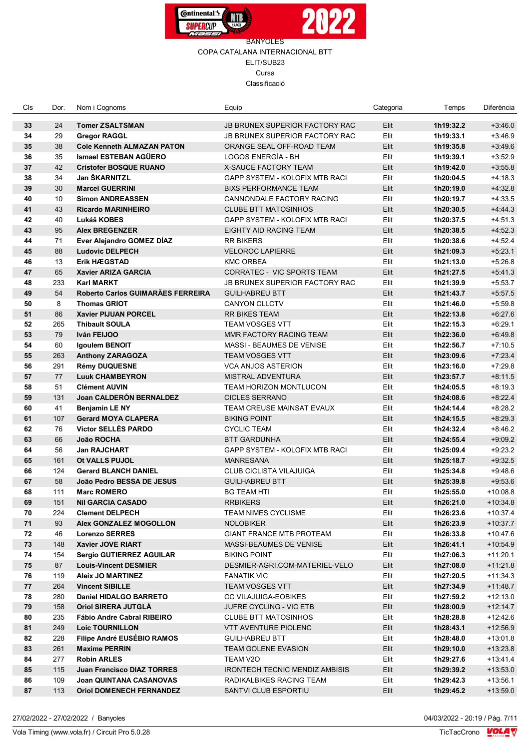



| Cls | Dor. | Nom i Cognoms                     | Equip                                 | Categoria | Temps     | Diferència |
|-----|------|-----------------------------------|---------------------------------------|-----------|-----------|------------|
| 33  | 24   | <b>Tomer ZSALTSMAN</b>            | <b>JB BRUNEX SUPERIOR FACTORY RAC</b> | Elit      | 1h19:32.2 | $+3.46.0$  |
| 34  | 29   | <b>Gregor RAGGL</b>               | JB BRUNEX SUPERIOR FACTORY RAC        | Elit      | 1h19:33.1 | $+3.46.9$  |
| 35  | 38   | <b>Cole Kenneth ALMAZAN PATON</b> | ORANGE SEAL OFF-ROAD TEAM             | Elit      | 1h19:35.8 | $+3:49.6$  |
| 36  | 35   | Ismael ESTEBAN AGÜERO             | LOGOS ENERGÍA - BH                    | Elit      | 1h19:39.1 | $+3:52.9$  |
| 37  | 42   | <b>Cristofer BOSQUE RUANO</b>     | <b>X-SAUCE FACTORY TEAM</b>           | Elit      | 1h19:42.0 | $+3:55.8$  |
| 38  | 34   | Jan ŠKARNITZL                     | GAPP SYSTEM - KOLOFIX MTB RACI        | Elit      | 1h20:04.5 | $+4:18.3$  |
| 39  | 30   | <b>Marcel GUERRINI</b>            | <b>BIXS PERFORMANCE TEAM</b>          | Elit      | 1h20:19.0 | $+4:32.8$  |
| 40  | 10   | <b>Simon ANDREASSEN</b>           | CANNONDALE FACTORY RACING             | Elit      | 1h20:19.7 | $+4:33.5$  |
| 41  | 43   | <b>Ricardo MARINHEIRO</b>         | <b>CLUBE BTT MATOSINHOS</b>           | Elit      | 1h20:30.5 | $+4.44.3$  |
| 42  | 40   | Lukáš KOBES                       | GAPP SYSTEM - KOLOFIX MTB RACI        | Elit      | 1h20:37.5 | $+4.51.3$  |
| 43  | 95   | <b>Alex BREGENZER</b>             | EIGHTY AID RACING TEAM                | Elit      | 1h20:38.5 | $+4:52.3$  |
| 44  | 71   | Ever Alejandro GOMEZ DÍAZ         | <b>RR BIKERS</b>                      | Elit      | 1h20:38.6 | $+4.52.4$  |
| 45  | 88   | <b>Ludovic DELPECH</b>            | <b>VELOROC LAPIERRE</b>               | Elit      | 1h21:09.3 | $+5:23.1$  |
| 46  | 13   | <b>Erik HÆGSTAD</b>               | <b>KMC ORBEA</b>                      | Elit      | 1h21:13.0 | $+5:26.8$  |
| 47  | 65   | <b>Xavier ARIZA GARCIA</b>        | CORRATEC - VIC SPORTS TEAM            | Elit      | 1h21:27.5 | $+5.41.3$  |
| 48  | 233  | <b>Karl MARKT</b>                 | <b>JB BRUNEX SUPERIOR FACTORY RAC</b> | Elit      | 1h21:39.9 | $+5:53.7$  |
| 49  | 54   | Roberto Carlos GUIMARÃES FERREIRA | <b>GUILHABREU BTT</b>                 | Elit      | 1h21:43.7 | $+5:57.5$  |
| 50  | 8    | <b>Thomas GRIOT</b>               | CANYON CLLCTV                         | Elit      | 1h21:46.0 | $+5:59.8$  |
| 51  | 86   | <b>Xavier PIJUAN PORCEL</b>       | <b>RR BIKES TEAM</b>                  | Elit      | 1h22:13.8 | $+6.27.6$  |
| 52  | 265  | <b>Thibault SOULA</b>             | <b>TEAM VOSGES VTT</b>                | Elit      | 1h22:15.3 | $+6:29.1$  |
| 53  | 79   | Iván FEIJOO                       | MMR FACTORY RACING TEAM               | Elit      | 1h22:36.0 | $+6.49.8$  |
| 54  | 60   | Igoulem BENOIT                    | MASSI - BEAUMES DE VENISE             | Elit      | 1h22:56.7 | $+7:10.5$  |
| 55  | 263  | <b>Anthony ZARAGOZA</b>           | <b>TEAM VOSGES VTT</b>                | Elit      | 1h23:09.6 | $+7:23.4$  |
| 56  | 291  | <b>Rémy DUQUESNE</b>              | <b>VCA ANJOS ASTERION</b>             | Elit      | 1h23:16.0 | $+7:29.8$  |
| 57  | 77   | <b>Luuk CHAMBEYRON</b>            | <b>MISTRAL ADVENTURA</b>              | Elit      | 1h23:57.7 | $+8:11.5$  |
| 58  | 51   | <b>Clément AUVIN</b>              | <b>TEAM HORIZON MONTLUCON</b>         | Elit      | 1h24:05.5 | $+8:19.3$  |
| 59  | 131  | Joan CALDERÓN BERNALDEZ           | <b>CICLES SERRANO</b>                 | Elit      | 1h24:08.6 | $+8.22.4$  |
| 60  | 41   | <b>Benjamin LE NY</b>             | TEAM CREUSE MAINSAT EVAUX             | Elit      | 1h24:14.4 | $+8:28.2$  |
| 61  | 107  | <b>Gerard MOYA CLAPERA</b>        | <b>BIKING POINT</b>                   | Elit      | 1h24:15.5 | $+8.29.3$  |
| 62  | 76   | <b>Victor SELLÉS PARDO</b>        | <b>CYCLIC TEAM</b>                    | Elit      | 1h24:32.4 | $+8.46.2$  |
| 63  | 66   | João ROCHA                        | <b>BTT GARDUNHA</b>                   | Elit      | 1h24:55.4 | $+9:09.2$  |
| 64  | 56   | <b>Jan RAJCHART</b>               | GAPP SYSTEM - KOLOFIX MTB RACI        | Elit      | 1h25:09.4 | $+9:23.2$  |
| 65  | 161  | Ot VALLS PUJOL                    | <b>MANRESANA</b>                      | Elit      | 1h25:18.7 | $+9.32.5$  |
| 66  | 124  | <b>Gerard BLANCH DANIEL</b>       | <b>CLUB CICLISTA VILAJUIGA</b>        | Elit      | 1h25:34.8 | $+9.48.6$  |
| 67  | 58   | João Pedro BESSA DE JESUS         | <b>GUILHABREU BTT</b>                 | Elit      | 1h25:39.8 | $+9.53.6$  |
| 68  | 111  | <b>Marc ROMERO</b>                | <b>BG TEAM HTI</b>                    | Elit      | 1h25:55.0 | $+10:08.8$ |
| 69  | 151  | <b>Nil GARCIA CASADO</b>          | <b>RRBIKERS</b>                       | Elit      | 1h26:21.0 | $+10.34.8$ |
| 70  | 224  | <b>Clement DELPECH</b>            | <b>TEAM NIMES CYCLISME</b>            | Elit      | 1h26:23.6 | $+10:37.4$ |
| 71  | 93   | Alex GONZALEZ MOGOLLON            | <b>NOLOBIKER</b>                      | Elit      | 1h26:23.9 | +10:37.7   |
| 72  | 46   | <b>Lorenzo SERRES</b>             | <b>GIANT FRANCE MTB PROTEAM</b>       | Elit      | 1h26:33.8 | +10:47.6   |
| 73  | 148  | Xavier JOVE RIART                 | MASSI-BEAUMES DE VENISE               | Elit      | 1h26:41.1 | +10:54.9   |
| 74  | 154  | Sergio GUTIERREZ AGUILAR          | <b>BIKING POINT</b>                   | Elit      | 1h27:06.3 | $+11:20.1$ |
| 75  | 87   | <b>Louis-Vincent DESMIER</b>      | DESMIER-AGRI.COM-MATERIEL-VELO        | Elit      | 1h27:08.0 | $+11:21.8$ |
| 76  | 119  | <b>Aleix JO MARTINEZ</b>          | <b>FANATIK VIC</b>                    | Elit      | 1h27:20.5 | $+11:34.3$ |
| 77  | 264  | <b>Vincent SIBILLE</b>            | <b>TEAM VOSGES VTT</b>                | Elit      | 1h27:34.9 | $+11.48.7$ |
| 78  | 280  | Daniel HIDALGO BARRETO            | CC VILAJUIGA-EOBIKES                  | Elit      | 1h27:59.2 | $+12:13.0$ |
| 79  | 158  | <b>Oriol SIRERA JUTGLA</b>        | <b>JUFRE CYCLING - VIC ETB</b>        | Elit      | 1h28:00.9 | $+12:14.7$ |
| 80  | 235  | Fábio Andre Cabral RIBEIRO        | <b>CLUBE BTT MATOSINHOS</b>           | Elit      | 1h28:28.8 | +12:42.6   |
| 81  | 249  | <b>Loic TOURNILLON</b>            | VTT AVENTURE PIOLENC                  | Elit      | 1h28:43.1 | +12:56.9   |
| 82  | 228  | Filipe André EUSÉBIO RAMOS        | <b>GUILHABREU BTT</b>                 | Elit      | 1h28:48.0 | +13:01.8   |
| 83  | 261  | <b>Maxime PERRIN</b>              | <b>TEAM GOLENE EVASION</b>            | Elit      | 1h29:10.0 | $+13:23.8$ |
| 84  | 277  | <b>Robin ARLES</b>                | TEAM V2O                              | Elit      | 1h29:27.6 | +13:41.4   |
| 85  | 115  | <b>Juan Francisco DIAZ TORRES</b> | <b>IRONTECH TECNIC MENDIZ AMBISIS</b> | Elit      | 1h29:39.2 | $+13:53.0$ |
| 86  | 109  | <b>Joan QUINTANA CASANOVAS</b>    | RADIKALBIKES RACING TEAM              | Elit      | 1h29:42.3 | $+13:56.1$ |
| 87  | 113  | <b>Oriol DOMENECH FERNANDEZ</b>   | SANTVI CLUB ESPORTIU                  | Elit      | 1h29:45.2 | $+13:59.0$ |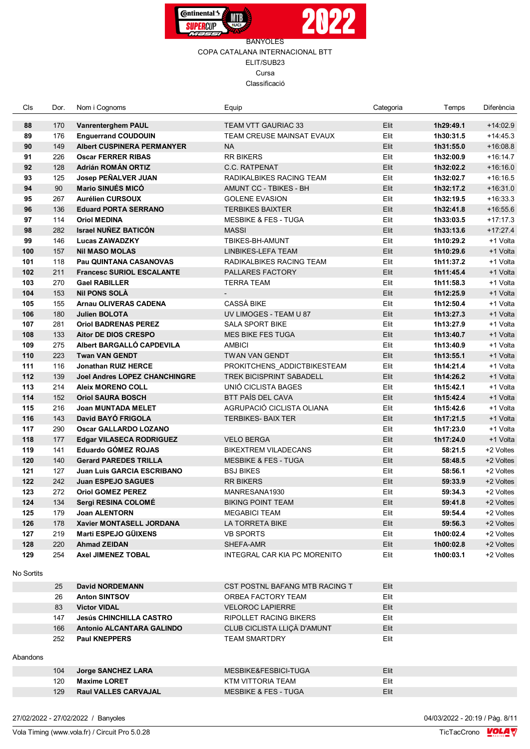



| Cls        | Dor. | Nom i Cognoms                        | Equip                               | Categoria | Temps     | Diferència |
|------------|------|--------------------------------------|-------------------------------------|-----------|-----------|------------|
| 88         | 170  | <b>Vanrenterghem PAUL</b>            | <b>TEAM VTT GAURIAC 33</b>          | Elit      | 1h29:49.1 | $+14:02.9$ |
| 89         | 176  | <b>Enguerrand COUDOUIN</b>           | TEAM CREUSE MAINSAT EVAUX           | Elit      | 1h30:31.5 | $+14.45.3$ |
| 90         | 149  | <b>Albert CUSPINERA PERMANYER</b>    | <b>NA</b>                           | $E$ lit   | 1h31:55.0 | $+16:08.8$ |
| 91         | 226  | <b>Oscar FERRER RIBAS</b>            | <b>RR BIKERS</b>                    | Elit      | 1h32:00.9 | $+16:14.7$ |
| 92         | 128  | Adrián ROMÁN ORTIZ                   | <b>C.C. RATPENAT</b>                | Elit      | 1h32:02.2 | $+16:16.0$ |
| 93         | 125  | Josep PEÑALVER JUAN                  | RADIKALBIKES RACING TEAM            | Elit      | 1h32:02.7 | $+16:16.5$ |
| 94         | 90   | Mario SINUÉS MICÓ                    | AMUNT CC - TBIKES - BH              | Elit      | 1h32:17.2 | $+16:31.0$ |
| 95         | 267  | <b>Aurélien CURSOUX</b>              | <b>GOLENE EVASION</b>               | Elit      | 1h32:19.5 | $+16:33.3$ |
| 96         | 136  | <b>Eduard PORTA SERRANO</b>          | <b>TERBIKES BAIXTER</b>             | Elit      | 1h32:41.8 | $+16:55.6$ |
| 97         | 114  | <b>Oriol MEDINA</b>                  | <b>MESBIKE &amp; FES - TUGA</b>     | Elit      | 1h33:03.5 | $+17:17.3$ |
| 98         | 282  | <b>Israel NUÑEZ BATICÓN</b>          | <b>MASSI</b>                        | Elit      | 1h33:13.6 | $+17:27.4$ |
| 99         | 146  | <b>Lucas ZAWADZKY</b>                | TBIKES-BH-AMUNT                     | Elit      | 1h10:29.2 | +1 Volta   |
| 100        | 157  | <b>Nil MASO MOLAS</b>                | LINBIKES-LEFA TEAM                  | Elit      | 1h10:29.6 | +1 Volta   |
| 101        | 118  | <b>Pau QUINTANA CASANOVAS</b>        | RADIKALBIKES RACING TEAM            | Elit      | 1h11:37.2 | +1 Volta   |
| 102        | 211  | <b>Francesc SURIOL ESCALANTE</b>     | PALLARES FACTORY                    | Elit      | 1h11:45.4 | +1 Volta   |
| 103        | 270  | <b>Gael RABILLER</b>                 | TERRA TEAM                          | Elit      | 1h11:58.3 | +1 Volta   |
| 104        | 153  | Nil PONS SOLA                        |                                     | Elit      | 1h12:25.9 | +1 Volta   |
| 105        | 155  | <b>Arnau OLIVERAS CADENA</b>         | <b>CASSÀ BIKE</b>                   | Elit      | 1h12:50.4 | +1 Volta   |
| 106        | 180  | <b>Julien BOLOTA</b>                 | UV LIMOGES - TEAM U 87              | Elit      | 1h13:27.3 | +1 Volta   |
| 107        | 281  | <b>Oriol BADRENAS PEREZ</b>          | <b>SALA SPORT BIKE</b>              | Elit      | 1h13:27.9 | +1 Volta   |
| 108        | 133  | <b>Aitor DE DIOS CRESPO</b>          | <b>MES BIKE FES TUGA</b>            | Elit      | 1h13:40.7 | +1 Volta   |
| 109        | 275  | Albert BARGALLO CAPDEVILA            | <b>AMBICI</b>                       | Elit      | 1h13:40.9 | +1 Volta   |
| 110        | 223  | <b>Twan VAN GENDT</b>                | <b>TWAN VAN GENDT</b>               | Elit      | 1h13:55.1 | +1 Volta   |
| 111        | 116  | <b>Jonathan RUIZ HERCE</b>           | PROKITCHENS ADDICTBIKESTEAM         | Elit      | 1h14:21.4 | +1 Volta   |
| 112        | 139  | <b>Joel Andres LOPEZ CHANCHINGRE</b> | <b>TREK BICISPRINT SABADELL</b>     | Elit      | 1h14:26.2 | +1 Volta   |
| 113        | 214  | <b>Aleix MORENO COLL</b>             | UNIÓ CICLISTA BAGES                 | Elit      | 1h15:42.1 | +1 Volta   |
| 114        | 152  | <b>Oriol SAURA BOSCH</b>             | BTT PAÍS DEL CAVA                   | Elit      | 1h15:42.4 | +1 Volta   |
| 115        | 216  | <b>Joan MUNTADA MELET</b>            | AGRUPACIÓ CICLISTA OLIANA           | Elit      | 1h15:42.6 | +1 Volta   |
| 116        | 143  | David BAYÓ FRIGOLA                   | <b>TERBIKES- BAIX TER</b>           | Elit      | 1h17:21.5 | +1 Volta   |
| 117        | 290  | <b>Oscar GALLARDO LOZANO</b>         |                                     | Elit      | 1h17:23.0 | +1 Volta   |
| 118        | 177  | <b>Edgar VILASECA RODRIGUEZ</b>      | <b>VELO BERGA</b>                   | Elit      | 1h17:24.0 | +1 Volta   |
| 119        | 141  | Eduardo GÓMEZ ROJAS                  | <b>BIKEXTREM VILADECANS</b>         | Elit      | 58:21.5   | +2 Voltes  |
| 120        | 140  | <b>Gerard PAREDES TRILLA</b>         | <b>MESBIKE &amp; FES - TUGA</b>     | Elit      | 58:48.5   | +2 Voltes  |
| 121        | 127  | <b>Juan Luis GARCIA ESCRIBANO</b>    | BSJ BIKES                           | Elit      | 58:56.1   | +2 Voltes  |
| 122        | 242  | <b>Juan ESPEJO SAGUES</b>            | <b>RR BIKERS</b>                    | Elit      | 59:33.9   | +2 Voltes  |
| 123        | 272  | <b>Oriol GOMEZ PEREZ</b>             | MANRESANA1930                       | Elit      | 59:34.3   | +2 Voltes  |
| 124        | 134  | Sergi RESINA COLOMÉ                  | <b>BIKING POINT TEAM</b>            | Elit      | 59:41.8   | +2 Voltes  |
| 125        | 179  | <b>Joan ALENTORN</b>                 | <b>MEGABICI TEAM</b>                | Elit      | 59:54.4   | +2 Voltes  |
| 126        | 178  | Xavier MONTASELL JORDANA             | LA TORRETA BIKE                     | Elit      | 59:56.3   | +2 Voltes  |
| 127        | 219  | Marti ESPEJO GÜIXENS                 | <b>VB SPORTS</b>                    | Elit      | 1h00:02.4 | +2 Voltes  |
| 128        | 220  | <b>Ahmad ZEIDAN</b>                  | SHEFA-AMR                           | Elit      | 1h00:02.8 | +2 Voltes  |
| 129        | 254  | <b>Axel JIMENEZ TOBAL</b>            | <b>INTEGRAL CAR KIA PC MORENITO</b> | Elit      | 1h00:03.1 | +2 Voltes  |
| No Sortits |      |                                      |                                     |           |           |            |
|            | 25   | <b>David NORDEMANN</b>               | CST POSTNL BAFANG MTB RACING T      | Elit      |           |            |
|            | 26   | <b>Anton SINTSOV</b>                 | ORBEA FACTORY TEAM                  | Elit      |           |            |
|            | 83   | <b>Victor VIDAL</b>                  | <b>VELOROC LAPIERRE</b>             | Elit      |           |            |
|            | 147  | <b>Jesús CHINCHILLA CASTRO</b>       | <b>RIPOLLET RACING BIKERS</b>       | Elit      |           |            |
|            | 166  | Antonio ALCANTARA GALINDO            | CLUB CICLISTA LLIÇÀ D'AMUNT         | Elit      |           |            |
|            | 252  | <b>Paul KNEPPERS</b>                 | <b>TEAM SMARTDRY</b>                | Elit      |           |            |
|            |      |                                      |                                     |           |           |            |
| Abandons   |      |                                      |                                     |           |           |            |
|            | 104  | Jorge SANCHEZ LARA                   | MESBIKE&FESBICI-TUGA                | Elit      |           |            |
|            | 120  | <b>Maxime LORET</b>                  | KTM VITTORIA TEAM                   | Elit      |           |            |
|            | 129  | <b>Raul VALLES CARVAJAL</b>          | <b>MESBIKE &amp; FES - TUGA</b>     | Elit      |           |            |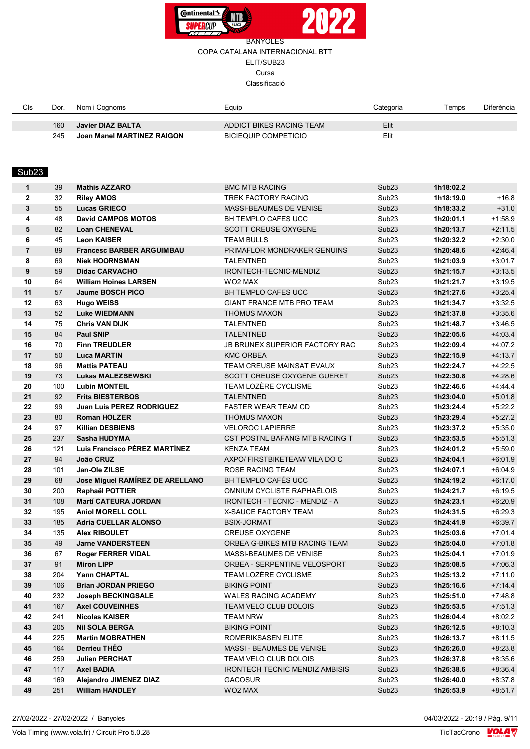



## COPA CATALANA INTERNACIONAL BTT ELIT/SUB23 Cursa

Classificació

| Cls | Dor. | Nom i Cognoms              | ≞auip                       | Categoria | <b>Temps</b> | Diferència |
|-----|------|----------------------------|-----------------------------|-----------|--------------|------------|
|     |      |                            |                             |           |              |            |
|     | 160  | Javier DIAZ BALTA          | ADDICT BIKES RACING TEAM    | Elit      |              |            |
|     | 245  | Joan Manel MARTINEZ RAIGON | <b>BICIEQUIP COMPETICIO</b> | Elit      |              |            |

# Sub23

| 1              | 39  | <b>Mathis AZZARO</b>             | <b>BMC MTB RACING</b>                 | Sub <sub>23</sub> | 1h18:02.2 |           |
|----------------|-----|----------------------------------|---------------------------------------|-------------------|-----------|-----------|
| $\mathbf{2}$   | 32  | <b>Riley AMOS</b>                | TREK FACTORY RACING                   | Sub <sub>23</sub> | 1h18:19.0 | $+16.8$   |
| 3              | 55  | <b>Lucas GRIECO</b>              | <b>MASSI-BEAUMES DE VENISE</b>        | Sub <sub>23</sub> | 1h18:33.2 | $+31.0$   |
| 4              | 48  | <b>David CAMPOS MOTOS</b>        | <b>BH TEMPLO CAFES UCC</b>            | Sub <sub>23</sub> | 1h20:01.1 | $+1:58.9$ |
| 5              | 82  | <b>Loan CHENEVAL</b>             | <b>SCOTT CREUSE OXYGENE</b>           | Sub <sub>23</sub> | 1h20:13.7 | $+2:11.5$ |
| 6              | 45  | <b>Leon KAISER</b>               | <b>TEAM BULLS</b>                     | Sub <sub>23</sub> | 1h20:32.2 | $+2:30.0$ |
| $\overline{7}$ | 89  | <b>Francesc BARBER ARGUIMBAU</b> | PRIMAFLOR MONDRAKER GENUINS           | Sub <sub>23</sub> | 1h20:48.6 | $+2:46.4$ |
| 8              | 69  | <b>Niek HOORNSMAN</b>            | <b>TALENTNED</b>                      | Sub <sub>23</sub> | 1h21:03.9 | $+3:01.7$ |
| 9              | 59  | <b>Didac CARVACHO</b>            | IRONTECH-TECNIC-MENDIZ                | Sub <sub>23</sub> | 1h21:15.7 | $+3:13.5$ |
| 10             | 64  | <b>William Hoines LARSEN</b>     | WO <sub>2</sub> MAX                   | Sub <sub>23</sub> | 1h21:21.7 | $+3:19.5$ |
| 11             | 57  | <b>Jaume BOSCH PICO</b>          | <b>BH TEMPLO CAFES UCC</b>            | Sub <sub>23</sub> | 1h21:27.6 | $+3:25.4$ |
| 12             | 63  | <b>Hugo WEISS</b>                | <b>GIANT FRANCE MTB PRO TEAM</b>      | Sub <sub>23</sub> | 1h21:34.7 | $+3:32.5$ |
| 13             | 52  | <b>Luke WIEDMANN</b>             | <b>THÖMUS MAXON</b>                   | Sub <sub>23</sub> | 1h21:37.8 | $+3.35.6$ |
| 14             | 75  | <b>Chris VAN DIJK</b>            | TALENTNED                             | Sub <sub>23</sub> | 1h21:48.7 | $+3.46.5$ |
| 15             | 84  | <b>Paul SNIP</b>                 | <b>TALENTNED</b>                      | Sub <sub>23</sub> | 1h22:05.6 | $+4.03.4$ |
| 16             | 70  | <b>Finn TREUDLER</b>             | JB BRUNEX SUPERIOR FACTORY RAC        | Sub <sub>23</sub> | 1h22:09.4 | $+4:07.2$ |
| 17             | 50  | <b>Luca MARTIN</b>               | <b>KMC ORBEA</b>                      | Sub <sub>23</sub> | 1h22:15.9 | $+4:13.7$ |
| 18             | 96  | <b>Mattis PATEAU</b>             | TEAM CREUSE MAINSAT EVAUX             | Sub <sub>23</sub> | 1h22:24.7 | $+4:22.5$ |
| 19             | 73  | <b>Lukas MALEZSEWSKI</b>         | SCOTT CREUSE OXYGENE GUERET           | Sub <sub>23</sub> | 1h22:30.8 | $+4.28.6$ |
| 20             | 100 | <b>Lubin MONTEIL</b>             | TEAM LOZÈRE CYCLISME                  | Sub <sub>23</sub> | 1h22:46.6 | $+4.44.4$ |
| 21             | 92  | <b>Frits BIESTERBOS</b>          | <b>TALENTNED</b>                      | Sub <sub>23</sub> | 1h23:04.0 | $+5.01.8$ |
| 22             | 99  | <b>Juan Luis PEREZ RODRIGUEZ</b> | <b>FASTER WEAR TEAM CD</b>            | Sub <sub>23</sub> | 1h23:24.4 | $+5:22.2$ |
| 23             | 80  | <b>Roman HOLZER</b>              | THÖMUS MAXON                          | Sub <sub>23</sub> | 1h23:29.4 | $+5:27.2$ |
| 24             | 97  | <b>Killian DESBIENS</b>          | <b>VELOROC LAPIERRE</b>               | Sub <sub>23</sub> | 1h23:37.2 | $+5:35.0$ |
| 25             | 237 | Sasha HUDYMA                     | CST POSTNL BAFANG MTB RACING T        | Sub <sub>23</sub> | 1h23:53.5 | $+5:51.3$ |
| 26             | 121 | Luis Francisco PÉREZ MARTÍNEZ    | <b>KENZA TEAM</b>                     | Sub <sub>23</sub> | 1h24:01.2 | $+5:59.0$ |
| 27             | 94  | João CRUZ                        | AXPO/ FIRSTBIKETEAM/ VILA DO C        | Sub <sub>23</sub> | 1h24:04.1 | $+6.01.9$ |
| 28             | 101 | Jan-Ole ZILSE                    | ROSE RACING TEAM                      | Sub <sub>23</sub> | 1h24:07.1 | $+6.04.9$ |
| 29             | 68  | Jose Miguel RAMÍREZ DE ARELLANO  | <b>BH TEMPLO CAFÉS UCC</b>            | Sub <sub>23</sub> | 1h24:19.2 | $+6:17.0$ |
| 30             | 200 | Raphaël POTTIER                  | OMNIUM CYCLISTE RAPHAËLOIS            | Sub <sub>23</sub> | 1h24:21.7 | $+6:19.5$ |
| 31             | 108 | <b>Martí CATEURA JORDAN</b>      | IRONTECH - TECNIC - MENDIZ - A        | Sub <sub>23</sub> | 1h24:23.1 | $+6:20.9$ |
| 32             | 195 | <b>Aniol MORELL COLL</b>         | X-SAUCE FACTORY TEAM                  | Sub <sub>23</sub> | 1h24:31.5 | $+6.29.3$ |
| 33             | 185 | <b>Adria CUELLAR ALONSO</b>      | <b>BSIX-JORMAT</b>                    | Sub <sub>23</sub> | 1h24:41.9 | $+6:39.7$ |
| 34             | 135 | <b>Alex RIBOULET</b>             | <b>CREUSE OXYGENE</b>                 | Sub <sub>23</sub> | 1h25:03.6 | $+7.01.4$ |
| 35             | 49  | <b>Jarne VANDERSTEEN</b>         | ORBEA G-BIKES MTB RACING TEAM         | Sub <sub>23</sub> | 1h25:04.0 | $+7:01.8$ |
| 36             | 67  | <b>Roger FERRER VIDAL</b>        | MASSI-BEAUMES DE VENISE               | Sub <sub>23</sub> | 1h25:04.1 | $+7:01.9$ |
| 37             | 91  | <b>Miron LIPP</b>                | ORBEA - SERPENTINE VELOSPORT          | Sub <sub>23</sub> | 1h25:08.5 | $+7:06.3$ |
| 38             | 204 | <b>Yann CHAPTAL</b>              | TEAM LOZÈRE CYCLISME                  | Sub <sub>23</sub> | 1h25:13.2 | $+7:11.0$ |
| 39             | 106 | <b>Brian JORDAN PRIEGO</b>       | <b>BIKING POINT</b>                   | Sub <sub>23</sub> | 1h25:16.6 | $+7:14.4$ |
| 40             | 232 | <b>Joseph BECKINGSALE</b>        | WALES RACING ACADEMY                  | Sub <sub>23</sub> | 1h25:51.0 | $+7.48.8$ |
| 41             | 167 | <b>Axel COUVEINHES</b>           | TEAM VELO CLUB DOLOIS                 | Sub <sub>23</sub> | 1h25:53.5 | $+7:51.3$ |
| 42             | 241 | <b>Nicolas KAISER</b>            | TEAM NRW                              | Sub <sub>23</sub> | 1h26:04.4 | $+8:02.2$ |
| 43             | 205 | <b>Nil SOLA BERGA</b>            | <b>BIKING POINT</b>                   | Sub <sub>23</sub> | 1h26:12.5 | $+8:10.3$ |
| 44             | 225 | <b>Martin MOBRATHEN</b>          | ROMERIKSASEN ELITE                    | Sub <sub>23</sub> | 1h26:13.7 | $+8.11.5$ |
| 45             | 164 | Derrieu THÉO                     | MASSI - BEAUMES DE VENISE             | Sub <sub>23</sub> | 1h26:26.0 | $+8:23.8$ |
| 46             | 259 | <b>Julien PERCHAT</b>            | TEAM VELO CLUB DOLOIS                 | Sub <sub>23</sub> | 1h26:37.8 | $+8.35.6$ |
| 47             | 117 | <b>Axel BADIA</b>                | <b>IRONTECH TECNIC MENDIZ AMBISIS</b> | Sub <sub>23</sub> | 1h26:38.6 | $+8.36.4$ |
| 48             | 169 | Alejandro JIMENEZ DIAZ           | GACOSUR                               | Sub <sub>23</sub> | 1h26:40.0 | $+8.37.8$ |
| 49             | 251 | <b>William HANDLEY</b>           | WO2 MAX                               | Sub <sub>23</sub> | 1h26:53.9 | $+8:51.7$ |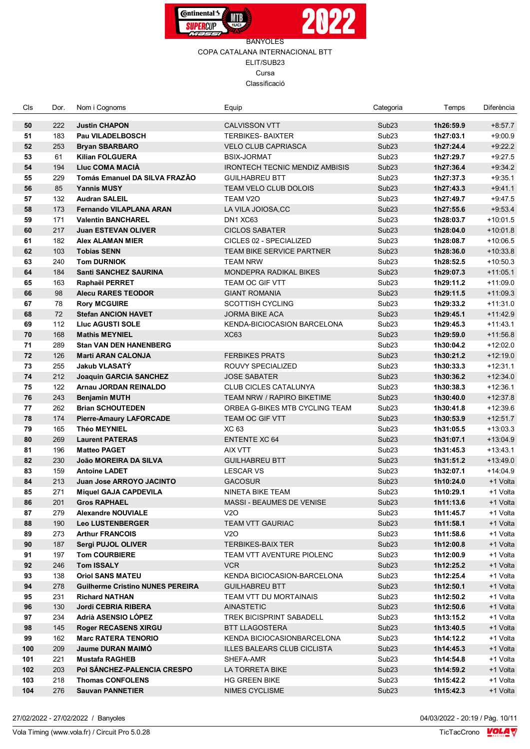



| Cls | Dor. | Nom i Cognoms                           | Equip                                 | Categoria         | Temps     | Diferència |
|-----|------|-----------------------------------------|---------------------------------------|-------------------|-----------|------------|
| 50  | 222  | <b>Justin CHAPON</b>                    | <b>CALVISSON VTT</b>                  | Sub <sub>23</sub> | 1h26:59.9 | $+8:57.7$  |
| 51  | 183  | <b>Pau VILADELBOSCH</b>                 | <b>TERBIKES-BAIXTER</b>               | Sub <sub>23</sub> | 1h27:03.1 | $+9:00.9$  |
| 52  | 253  | <b>Bryan SBARBARO</b>                   | <b>VELO CLUB CAPRIASCA</b>            | Sub <sub>23</sub> | 1h27:24.4 | $+9:22.2$  |
| 53  | 61   | <b>Kilian FOLGUERA</b>                  | <b>BSIX-JORMAT</b>                    | Sub <sub>23</sub> | 1h27:29.7 | $+9:27.5$  |
| 54  | 194  | <b>Lluc COMA MACIA</b>                  | <b>IRONTECH TECNIC MENDIZ AMBISIS</b> | Sub <sub>23</sub> | 1h27:36.4 | $+9:34.2$  |
| 55  | 229  | <b>Tomás Emanuel DA SILVA FRAZÃO</b>    | <b>GUILHABREU BTT</b>                 | Sub <sub>23</sub> | 1h27:37.3 | $+9:35.1$  |
| 56  | 85   | <b>Yannis MUSY</b>                      | TEAM VELO CLUB DOLOIS                 | Sub <sub>23</sub> | 1h27:43.3 | $+9.41.1$  |
| 57  | 132  | <b>Audran SALEIL</b>                    | TEAM V2O                              | Sub <sub>23</sub> | 1h27:49.7 | $+9.47.5$  |
| 58  | 173  | <b>Fernando VILAPLANA ARAN</b>          | LA VILA JOIOSA, CC                    | Sub <sub>23</sub> | 1h27:55.6 | $+9.53.4$  |
| 59  | 171  | <b>Valentin BANCHAREL</b>               | DN1 XC63                              | Sub <sub>23</sub> | 1h28:03.7 | $+10:01.5$ |
| 60  | 217  | <b>Juan ESTEVAN OLIVER</b>              | <b>CICLOS SABATER</b>                 | Sub <sub>23</sub> | 1h28:04.0 | $+10:01.8$ |
| 61  | 182  | <b>Alex ALAMAN MIER</b>                 | CICLES 02 - SPECIALIZED               | Sub <sub>23</sub> | 1h28:08.7 | $+10:06.5$ |
| 62  | 103  | <b>Tobias SENN</b>                      | TEAM BIKE SERVICE PARTNER             | Sub <sub>23</sub> | 1h28:36.0 | $+10.33.8$ |
| 63  | 240  | <b>Tom DURNIOK</b>                      | <b>TEAM NRW</b>                       | Sub <sub>23</sub> | 1h28:52.5 | $+10:50.3$ |
| 64  | 184  | Santi SANCHEZ SAURINA                   | <b>MONDEPRA RADIKAL BIKES</b>         | Sub <sub>23</sub> | 1h29:07.3 | $+11:05.1$ |
| 65  | 163  | Raphaël PERRET                          | TEAM OC GIF VTT                       | Sub <sub>23</sub> | 1h29:11.2 | $+11:09.0$ |
| 66  | 98   | <b>Alecu RARES TEODOR</b>               | <b>GIANT ROMANIA</b>                  | Sub <sub>23</sub> | 1h29:11.5 | $+11:09.3$ |
| 67  | 78   | <b>Rory MCGUIRE</b>                     | <b>SCOTTISH CYCLING</b>               | Sub <sub>23</sub> | 1h29:33.2 | $+11:31.0$ |
| 68  | 72   | <b>Stefan ANCION HAVET</b>              | <b>JORMA BIKE ACA</b>                 | Sub <sub>23</sub> | 1h29:45.1 | $+11:42.9$ |
| 69  | 112  | <b>Lluc AGUSTI SOLE</b>                 | KENDA-BICIOCASION BARCELONA           | Sub <sub>23</sub> | 1h29:45.3 | $+11:43.1$ |
| 70  | 168  | <b>Mathis MEYNIEL</b>                   | XC63                                  | Sub <sub>23</sub> | 1h29:59.0 | $+11:56.8$ |
| 71  | 289  | <b>Stan VAN DEN HANENBERG</b>           |                                       | Sub <sub>23</sub> | 1h30:04.2 | $+12:02.0$ |
| 72  | 126  | <b>Marti ARAN CALONJA</b>               | <b>FERBIKES PRATS</b>                 | Sub <sub>23</sub> | 1h30:21.2 | $+12:19.0$ |
| 73  | 255  | Jakub VLASATÝ                           | ROUVY SPECIALIZED                     | Sub <sub>23</sub> | 1h30:33.3 | $+12:31.1$ |
| 74  | 212  | <b>Joaquin GARCIA SANCHEZ</b>           | <b>JOSE SABATER</b>                   | Sub <sub>23</sub> | 1h30:36.2 | $+12:34.0$ |
| 75  | 122  | Arnau JORDAN REINALDO                   | <b>CLUB CICLES CATALUNYA</b>          | Sub <sub>23</sub> | 1h30:38.3 | $+12:36.1$ |
| 76  | 243  | <b>Benjamin MUTH</b>                    | <b>TEAM NRW / RAPIRO BIKETIME</b>     | Sub <sub>23</sub> | 1h30:40.0 | $+12:37.8$ |
| 77  | 262  | <b>Brian SCHOUTEDEN</b>                 | ORBEA G-BIKES MTB CYCLING TEAM        | Sub <sub>23</sub> | 1h30:41.8 | $+12:39.6$ |
| 78  | 174  | <b>Pierre-Amaury LAFORCADE</b>          | TEAM OC GIF VTT                       | Sub <sub>23</sub> | 1h30:53.9 | $+12:51.7$ |
| 79  | 165  | <b>Théo MEYNIEL</b>                     | XC 63                                 | Sub <sub>23</sub> | 1h31:05.5 | $+13:03.3$ |
| 80  | 269  | <b>Laurent PATERAS</b>                  | <b>ENTENTE XC 64</b>                  | Sub <sub>23</sub> | 1h31:07.1 | $+13:04.9$ |
| 81  | 196  | <b>Matteo PAGET</b>                     | AIX VTT                               | Sub <sub>23</sub> | 1h31:45.3 | $+13:43.1$ |
| 82  | 230  | João MOREIRA DA SILVA                   | <b>GUILHABREU BTT</b>                 | Sub <sub>23</sub> | 1h31:51.2 | $+13:49.0$ |
| 83  | 159  | <b>Antoine LADET</b>                    | <b>LESCAR VS</b>                      | Sub <sub>23</sub> | 1h32:07.1 | $+14:04.9$ |
| 84  | 213  | Juan Jose ARROYO JACINTO                | <b>GACOSUR</b>                        | Sub <sub>23</sub> | 1h10:24.0 | +1 Volta   |
| 85  | 271  | <b>Miquel GAJA CAPDEVILA</b>            | NINETA BIKE TEAM                      | Sub <sub>23</sub> | 1h10:29.1 | +1 Volta   |
| 86  | 201  | <b>Gros RAPHAEL</b>                     | MASSI - BEAUMES DE VENISE             | Sub <sub>23</sub> | 1h11:13.6 | +1 Volta   |
| 87  | 279  | <b>Alexandre NOUVIALE</b>               | V2O                                   | Sub <sub>23</sub> | 1h11:45.7 | +1 Volta   |
| 88  | 190  | <b>Leo LUSTENBERGER</b>                 | TEAM VTT GAURIAC                      | Sub <sub>23</sub> | 1h11:58.1 | +1 Volta   |
| 89  | 273  | <b>Arthur FRANCOIS</b>                  | V2O                                   | Sub <sub>23</sub> | 1h11:58.6 | +1 Volta   |
| 90  | 187  | <b>Sergi PUJOL OLIVER</b>               | <b>TERBIKES-BAIX TER</b>              | Sub <sub>23</sub> | 1h12:00.8 | +1 Volta   |
| 91  | 197  | <b>Tom COURBIERE</b>                    | TEAM VTT AVENTURE PIOLENC             | Sub <sub>23</sub> | 1h12:00.9 | +1 Volta   |
| 92  | 246  | <b>Tom ISSALY</b>                       | <b>VCR</b>                            | Sub <sub>23</sub> | 1h12:25.2 | +1 Volta   |
| 93  | 138  | <b>Oriol SANS MATEU</b>                 | KENDA BICIOCASION-BARCELONA           | Sub <sub>23</sub> | 1h12:25.4 | +1 Volta   |
| 94  | 278  | <b>Guilherme Cristino NUNES PEREIRA</b> | <b>GUILHABREU BTT</b>                 | Sub <sub>23</sub> | 1h12:50.1 | +1 Volta   |
| 95  | 231  | <b>Richard NATHAN</b>                   | TEAM VTT DU MORTAINAIS                | Sub <sub>23</sub> | 1h12:50.2 | +1 Volta   |
| 96  | 130  | <b>Jordi CEBRIA RIBERA</b>              | <b>AINASTETIC</b>                     | Sub <sub>23</sub> | 1h12:50.6 | +1 Volta   |
| 97  | 234  | Adrià ASENSIO LÓPEZ                     | TREK BICISPRINT SABADELL              | Sub <sub>23</sub> | 1h13:15.2 | +1 Volta   |
| 98  | 145  | <b>Roger RECASENS XIRGU</b>             | <b>BTT LLAGOSTERA</b>                 | Sub <sub>23</sub> | 1h13:40.5 | +1 Volta   |
| 99  | 162  | <b>Marc RATERA TENORIO</b>              | KENDA BICIOCASIONBARCELONA            | Sub <sub>23</sub> | 1h14:12.2 | +1 Volta   |
| 100 | 209  | <b>Jaume DURAN MAIMO</b>                | ILLES BALEARS CLUB CICLISTA           | Sub <sub>23</sub> | 1h14:45.3 | +1 Volta   |
| 101 | 221  | <b>Mustafa RAGHEB</b>                   | SHEFA-AMR                             | Sub <sub>23</sub> | 1h14:54.8 | +1 Volta   |
| 102 | 203  | Pol SANCHEZ-PALENCIA CRESPO             | LA TORRETA BIKE                       | Sub <sub>23</sub> | 1h14:59.2 | +1 Volta   |
| 103 | 218  | <b>Thomas CONFOLENS</b>                 | <b>HG GREEN BIKE</b>                  | Sub <sub>23</sub> | 1h15:42.2 | +1 Volta   |
| 104 | 276  | <b>Sauvan PANNETIER</b>                 | NIMES CYCLISME                        | Sub <sub>23</sub> | 1h15:42.3 | +1 Volta   |